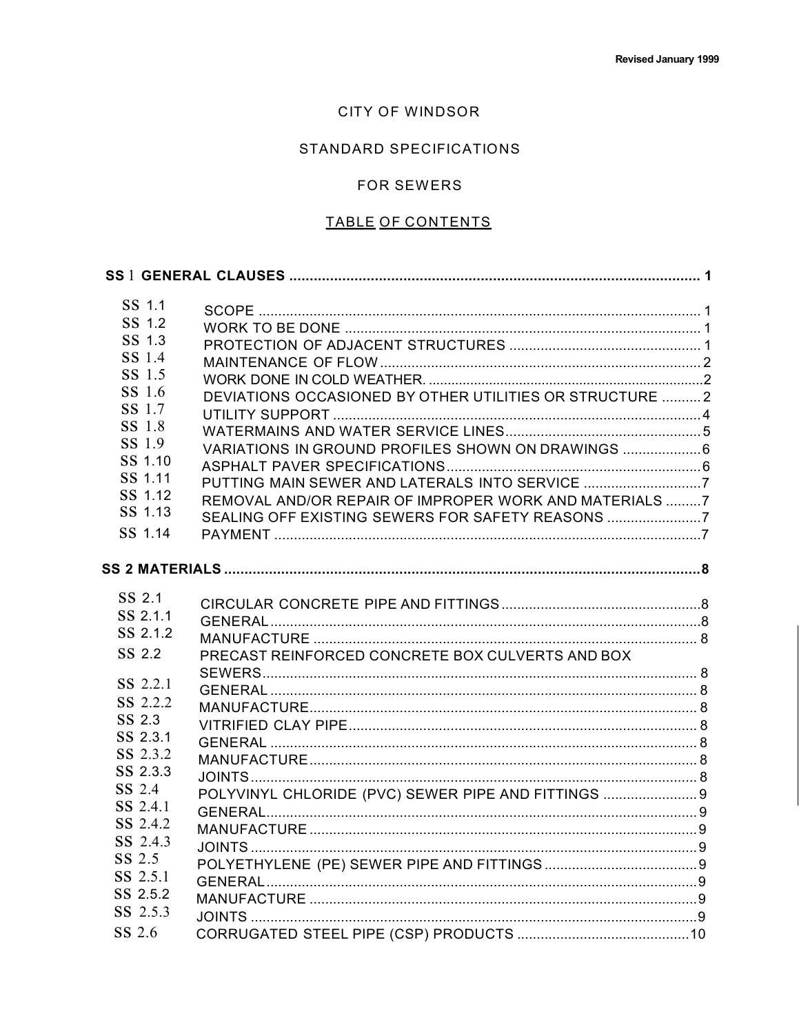## CITY OF WINDSOR

## STANDARD SPECIFICATIONS

## FOR SEWERS

## TABLE OF CONTENTS

| SS 1.1   |                                                          |  |
|----------|----------------------------------------------------------|--|
| SS 1.2   |                                                          |  |
| SS 1.3   |                                                          |  |
| SS 1.4   |                                                          |  |
| SS 1.5   |                                                          |  |
| SS 1.6   | DEVIATIONS OCCASIONED BY OTHER UTILITIES OR STRUCTURE  2 |  |
| SS 1.7   |                                                          |  |
| SS 1.8   |                                                          |  |
| SS 1.9   | VARIATIONS IN GROUND PROFILES SHOWN ON DRAWINGS          |  |
| SS 1.10  |                                                          |  |
| SS 1.11  |                                                          |  |
| SS 1.12  | REMOVAL AND/OR REPAIR OF IMPROPER WORK AND MATERIALS 7   |  |
| SS 1.13  | SEALING OFF EXISTING SEWERS FOR SAFETY REASONS 7         |  |
| SS 1.14  |                                                          |  |
|          |                                                          |  |
|          |                                                          |  |
| SS 2.1   |                                                          |  |
| SS 2.1.1 |                                                          |  |
| SS 2.1.2 |                                                          |  |
| SS 2.2   | PRECAST REINFORCED CONCRETE BOX CULVERTS AND BOX         |  |
|          |                                                          |  |
| SS 2.2.1 |                                                          |  |
| SS 2.2.2 |                                                          |  |
| SS 2.3   |                                                          |  |
| SS 2.3.1 |                                                          |  |
| SS 2.3.2 |                                                          |  |
| SS 2.3.3 |                                                          |  |
| SS 2.4   | POLYVINYL CHLORIDE (PVC) SEWER PIPE AND FITTINGS  9      |  |
| SS 2.4.1 |                                                          |  |
| SS 2.4.2 |                                                          |  |
| SS 2.4.3 |                                                          |  |
| SS 2.5   |                                                          |  |
| SS 2.5.1 |                                                          |  |
| SS 2.5.2 |                                                          |  |
| SS 2.5.3 |                                                          |  |
| SS 2.6   |                                                          |  |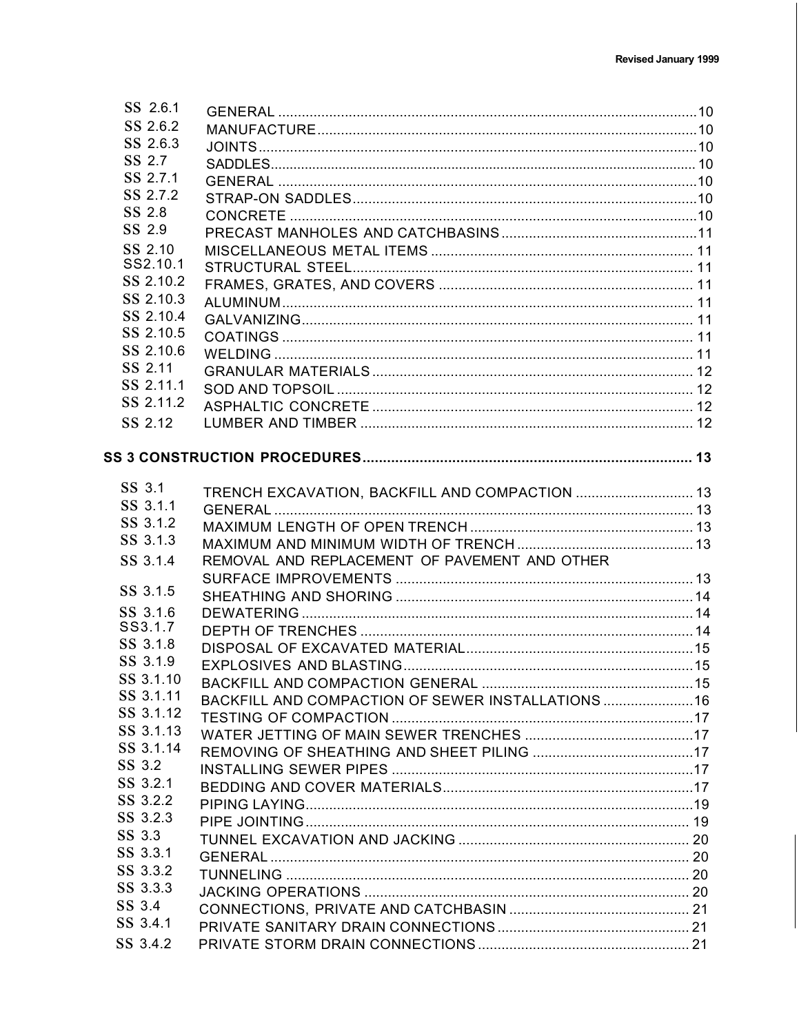| SS 2.6.1               |                                                    |  |
|------------------------|----------------------------------------------------|--|
| SS 2.6.2               |                                                    |  |
| SS 2.6.3               |                                                    |  |
| SS 2.7                 |                                                    |  |
| SS 2.7.1               |                                                    |  |
| SS 2.7.2               |                                                    |  |
| SS 2.8                 |                                                    |  |
| SS 2.9                 |                                                    |  |
| SS 2.10                |                                                    |  |
| SS2.10.1               |                                                    |  |
| SS 2.10.2              |                                                    |  |
| SS 2.10.3              |                                                    |  |
| SS 2.10.4              |                                                    |  |
| SS 2.10.5              |                                                    |  |
| SS 2.10.6              |                                                    |  |
| SS 2.11                |                                                    |  |
| SS 2.11.1              |                                                    |  |
| SS 2.11.2              |                                                    |  |
| SS 2.12                |                                                    |  |
|                        |                                                    |  |
|                        |                                                    |  |
| SS 3.1                 |                                                    |  |
| SS 3.1.1               | TRENCH EXCAVATION, BACKFILL AND COMPACTION  13     |  |
| SS 3.1.2               |                                                    |  |
| SS 3.1.3               |                                                    |  |
|                        |                                                    |  |
| SS 3.1.4               | REMOVAL AND REPLACEMENT OF PAVEMENT AND OTHER      |  |
| SS 3.1.5               |                                                    |  |
|                        |                                                    |  |
| SS 3.1.6<br>SS3.1.7    |                                                    |  |
| SS 3.1.8               |                                                    |  |
|                        |                                                    |  |
| SS 3.1.9<br>SS 3.1.10  |                                                    |  |
|                        |                                                    |  |
| SS 3.1.11<br>SS 3.1.12 | BACKFILL AND COMPACTION OF SEWER INSTALLATIONS  16 |  |
|                        |                                                    |  |
| SS 3.1.13              |                                                    |  |
| SS 3.1.14              |                                                    |  |
| SS 3.2                 |                                                    |  |
| SS 3.2.1               |                                                    |  |
| SS 3.2.2               |                                                    |  |
| SS 3.2.3               |                                                    |  |
| SS 3.3                 |                                                    |  |
| SS 3.3.1               |                                                    |  |
| SS 3.3.2               |                                                    |  |
| SS 3.3.3               |                                                    |  |
| SS 3.4                 |                                                    |  |
| SS 3.4.1               |                                                    |  |
| SS 3.4.2               |                                                    |  |
|                        |                                                    |  |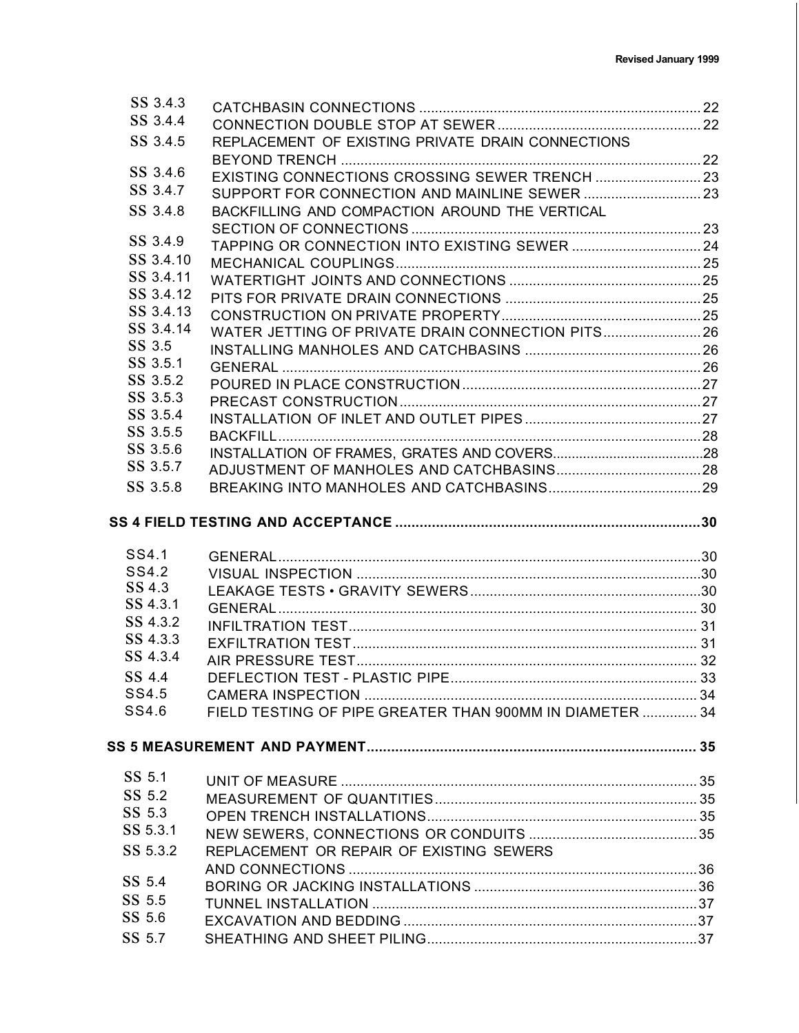| SS 3.4.3         |                                                          |  |
|------------------|----------------------------------------------------------|--|
| SS 3.4.4         |                                                          |  |
| SS 3.4.5         | REPLACEMENT OF EXISTING PRIVATE DRAIN CONNECTIONS        |  |
| SS 3.4.6         |                                                          |  |
| SS 3.4.7         |                                                          |  |
|                  | SUPPORT FOR CONNECTION AND MAINLINE SEWER  23            |  |
| SS 3.4.8         | BACKFILLING AND COMPACTION AROUND THE VERTICAL           |  |
| SS 3.4.9         | TAPPING OR CONNECTION INTO EXISTING SEWER  24            |  |
| SS 3.4.10        |                                                          |  |
| SS 3.4.11        |                                                          |  |
| SS 3.4.12        |                                                          |  |
| SS 3.4.13        |                                                          |  |
| SS 3.4.14        | WATER JETTING OF PRIVATE DRAIN CONNECTION PITS 26        |  |
| SS 3.5           |                                                          |  |
| SS 3.5.1         |                                                          |  |
| SS 3.5.2         |                                                          |  |
| SS 3.5.3         |                                                          |  |
| SS 3.5.4         |                                                          |  |
| SS 3.5.5         |                                                          |  |
| SS 3.5.6         |                                                          |  |
| SS 3.5.7         |                                                          |  |
| SS 3.5.8         |                                                          |  |
|                  |                                                          |  |
| SS4.1            |                                                          |  |
| SS4.2            |                                                          |  |
| SS 4.3           |                                                          |  |
| SS 4.3.1         |                                                          |  |
| SS 4.3.2         |                                                          |  |
| SS 4.3.3         |                                                          |  |
| SS 4.3.4         |                                                          |  |
| SS 4.4           |                                                          |  |
| SS4.5            |                                                          |  |
| SS4.6            | FIELD TESTING OF PIPE GREATER THAN 900MM IN DIAMETER  34 |  |
|                  |                                                          |  |
|                  |                                                          |  |
| SS 5.1           |                                                          |  |
| SS 5.2           |                                                          |  |
| SS 5.3           |                                                          |  |
| SS 5.3.1         |                                                          |  |
| SS 5.3.2         | REPLACEMENT OR REPAIR OF EXISTING SEWERS                 |  |
| SS 5.4           |                                                          |  |
|                  |                                                          |  |
| SS 5.5<br>SS 5.6 |                                                          |  |
|                  |                                                          |  |
| SS 5.7           |                                                          |  |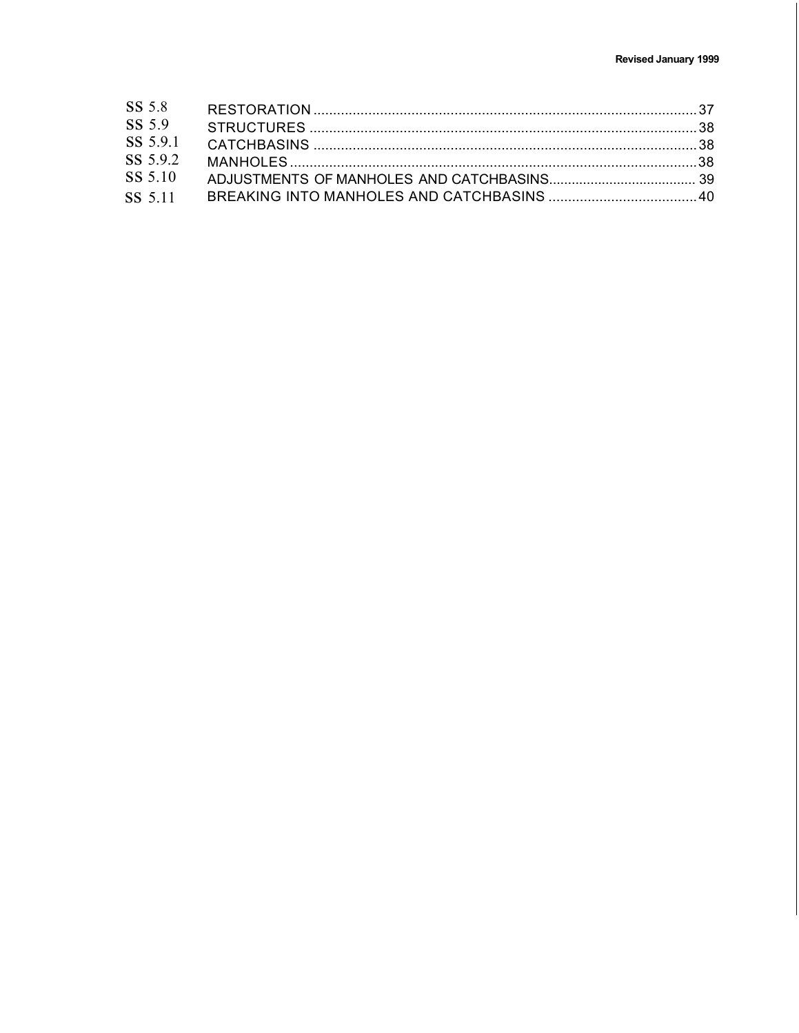| SS 5.8   |  |
|----------|--|
| SS 5.9   |  |
| SS 5.9.1 |  |
| SS 5.9.2 |  |
| SS 5.10  |  |
|          |  |
|          |  |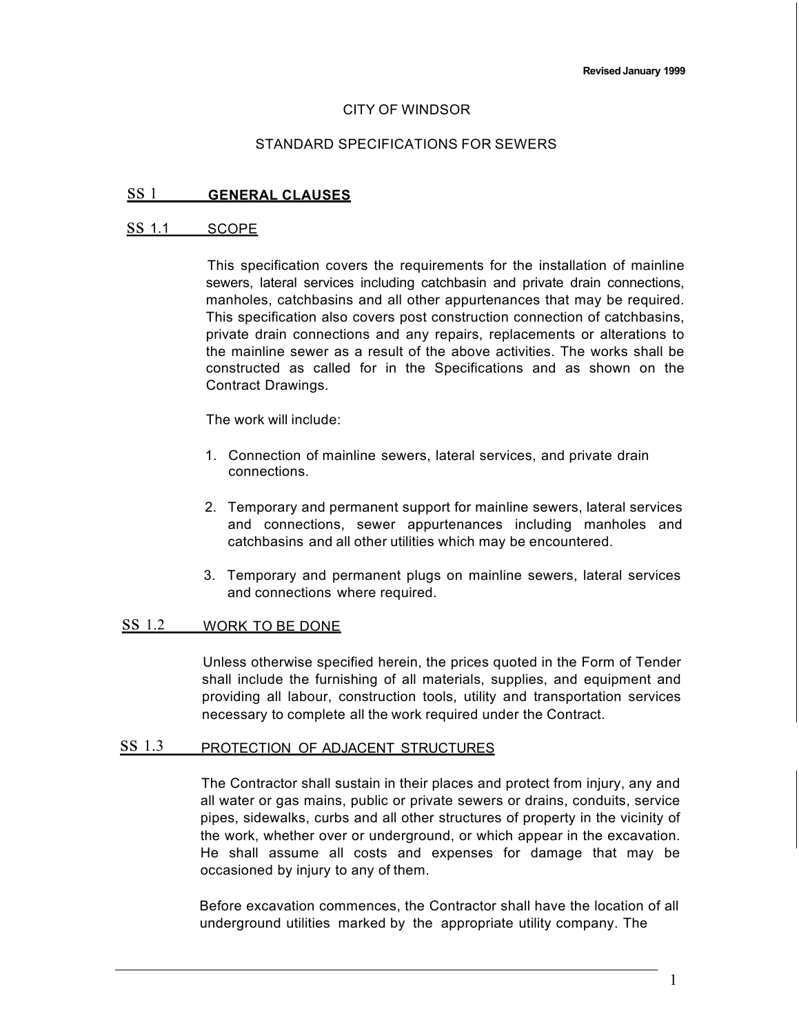#### CITY OF WINDSOR

#### STANDARD SPECIFICATIONS FOR SEWERS

### ss 1 **GENERAL CLAUSES**

#### ss 1.1 SCOPE

This specification covers the requirements for the installation of mainline sewers, lateral services including catchbasin and private drain connections, manholes, catchbasins and all other appurtenances that may be required. This specification also covers post construction connection of catchbasins, private drain connections and any repairs, replacements or alterations to the mainline sewer as a result of the above activities. The works shall be constructed as called for in the Specifications and as shown on the Contract Drawings.

The work will include:

- 1. Connection of mainline sewers, lateral services, and private drain connections.
- 2. Temporary and permanent support for mainline sewers, lateral services and connections, sewer appurtenances including manholes and catchbasins and all other utilities which may be encountered.
- 3. Temporary and permanent plugs on mainline sewers, lateral services and connections where required.

## ss 1.2 WORK TO BE DONE

Unless otherwise specified herein, the prices quoted in the Form of Tender shall include the furnishing of all materials, supplies, and equipment and providing all labour, construction tools, utility and transportation services necessary to complete all the work required under the Contract.

## ss 1.3 PROTECTION OF ADJACENT STRUCTURES

The Contractor shall sustain in their places and protect from injury, any and all water or gas mains, public or private sewers or drains, conduits, service pipes, sidewalks, curbs and all other structures of property in the vicinity of the work, whether over or underground, or which appear in the excavation. He shall assume all costs and expenses for damage that may be occasioned by injury to any of them.

Before excavation commences, the Contractor shall have the location of all underground utilities marked by the appropriate utility company. The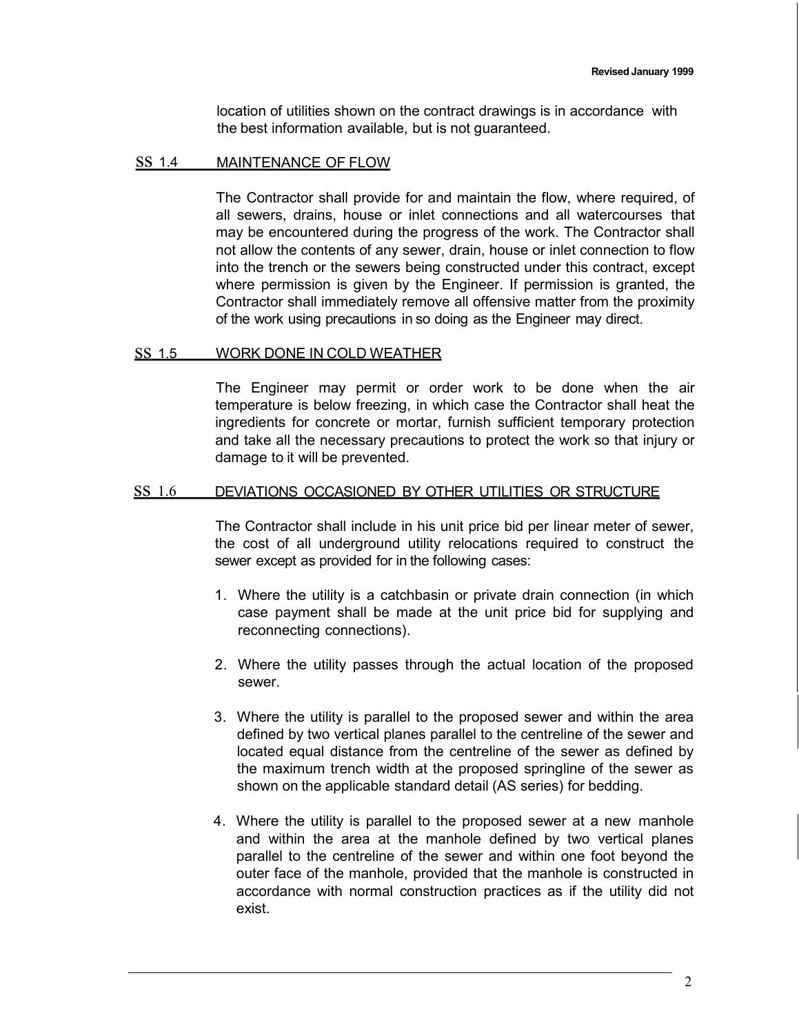location of utilities shown on the contract drawings is in accordance with the best information available, but is not guaranteed.

#### SS 1.4 MAINTENANCE OF FLOW

The Contractor shall provide for and maintain the flow, where required, of all sewers, drains, house or inlet connections and all watercourses that may be encountered during the progress of the work. The Contractor shall not allow the contents of any sewer, drain, house or inlet connection to flow into the trench or the sewers being constructed under this contract, except where permission is given by the Engineer. If permission is granted, the Contractor shall immediately remove all offensive matter from the proximity of the work using precautions in so doing as the Engineer may direct.

### ss 1.5 WORK DONE IN COLD WEATHER

The Engineer may permit or order work to be done when the air temperature is below freezing, in which case the Contractor shall heat the ingredients for concrete or mortar, furnish sufficient temporary protection and take all the necessary precautions to protect the work so that injury or damage to it will be prevented.

### ss 1.6 DEVIATIONS OCCASIONED BY OTHER UTILITIES OR STRUCTURE

The Contractor shall include in his unit price bid per linear meter of sewer, the cost of all underground utility relocations required to construct the sewer except as provided for in the following cases:

- 1. Where the utility is a catchbasin or private drain connection (in which case payment shall be made at the unit price bid for supplying and reconnecting connections).
- 2. Where the utility passes through the actual location of the proposed sewer.
- 3. Where the utility is parallel to the proposed sewer and within the area defined by two vertical planes parallel to the centreline of the sewer and located equal distance from the centreline of the sewer as defined by the maximum trench width at the proposed springline of the sewer as shown on the applicable standard detail (AS series) for bedding.
- 4. Where the utility is parallel to the proposed sewer at a new manhole and within the area at the manhole defined by two vertical planes parallel to the centreline of the sewer and within one foot beyond the outer face of the manhole, provided that the manhole is constructed in accordance with normal construction practices as if the utility did not exist.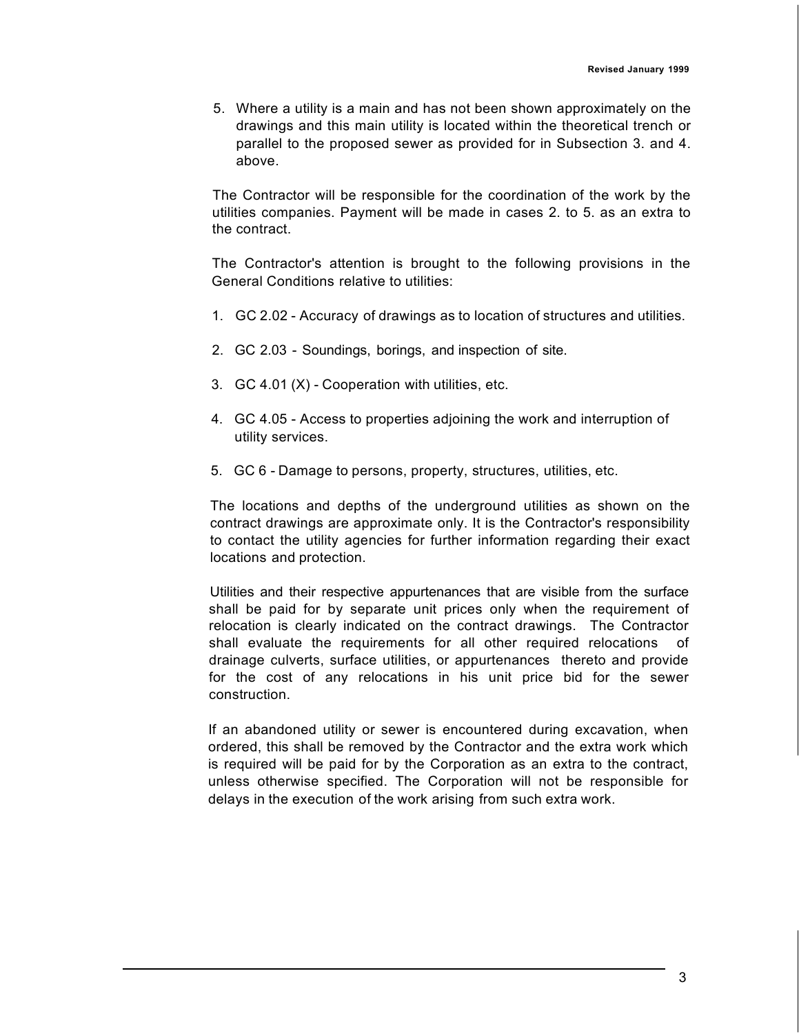5. Where a utility is a main and has not been shown approximately on the drawings and this main utility is located within the theoretical trench or parallel to the proposed sewer as provided for in Subsection 3. and 4. above.

The Contractor will be responsible for the coordination of the work by the utilities companies. Payment will be made in cases 2. to 5. as an extra to the contract.

The Contractor's attention is brought to the following provisions in the General Conditions relative to utilities:

- 1. GC 2.02 Accuracy of drawings as to location of structures and utilities.
- 2. GC 2.03 Soundings, borings, and inspection of site.
- 3. GC 4.01 (X) Cooperation with utilities, etc.
- 4. GC 4.05 Access to properties adjoining the work and interruption of utility services.
- 5. GC 6 Damage to persons, property, structures, utilities, etc.

The locations and depths of the underground utilities as shown on the contract drawings are approximate only. It is the Contractor's responsibility to contact the utility agencies for further information regarding their exact locations and protection.

Utilities and their respective appurtenances that are visible from the surface shall be paid for by separate unit prices only when the requirement of relocation is clearly indicated on the contract drawings. The Contractor shall evaluate the requirements for all other required relocations of drainage culverts, surface utilities, or appurtenances thereto and provide for the cost of any relocations in his unit price bid for the sewer construction.

If an abandoned utility or sewer is encountered during excavation, when ordered, this shall be removed by the Contractor and the extra work which is required will be paid for by the Corporation as an extra to the contract, unless otherwise specified. The Corporation will not be responsible for delays in the execution of the work arising from such extra work.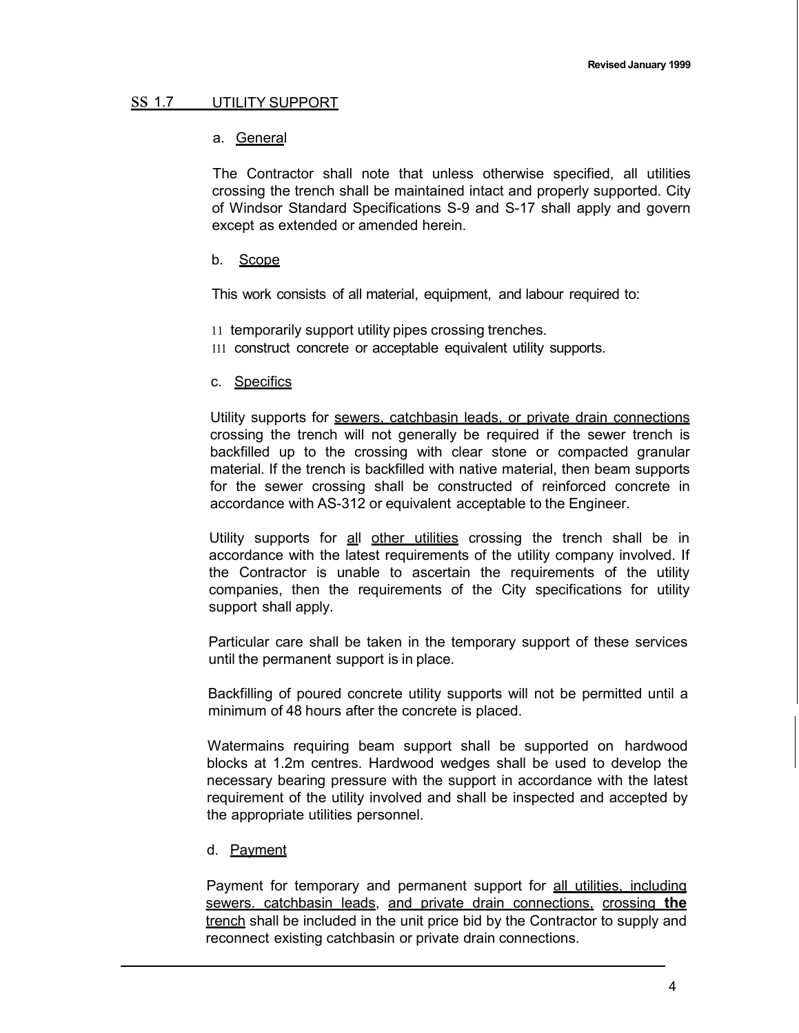### ss 1.7 UTILITY SUPPORT

### a. General

The Contractor shall note that unless otherwise specified, all utilities crossing the trench shall be maintained intact and properly supported. City of Windsor Standard Specifications S-9 and S-17 shall apply and govern except as extended or amended herein.

### b. Scope

This work consists of all material, equipment, and labour required to:

- 11 temporarily support utility pipes crossing trenches.
- 111 construct concrete or acceptable equivalent utility supports.

### c. Specifics

Utility supports for sewers, catchbasin leads, or private drain connections crossing the trench will not generally be required if the sewer trench is backfilled up to the crossing with clear stone or compacted granular material. If the trench is backfilled with native material, then beam supports for the sewer crossing shall be constructed of reinforced concrete in accordance with AS-312 or equivalent acceptable to the Engineer.

Utility supports for all other utilities crossing the trench shall be in accordance with the latest requirements of the utility company involved. If the Contractor is unable to ascertain the requirements of the utility companies, then the requirements of the City specifications for utility support shall apply.

Particular care shall be taken in the temporary support of these services until the permanent support is in place.

Backfilling of poured concrete utility supports will not be permitted until a minimum of 48 hours after the concrete is placed.

Watermains requiring beam support shall be supported on hardwood blocks at 1.2m centres. Hardwood wedges shall be used to develop the necessary bearing pressure with the support in accordance with the latest requirement of the utility involved and shall be inspected and accepted by the appropriate utilities personnel.

### d. Payment

Payment for temporary and permanent support for all utilities, including sewers. catchbasin leads, and private drain connections, crossing **the** trench shall be included in the unit price bid by the Contractor to supply and reconnect existing catchbasin or private drain connections.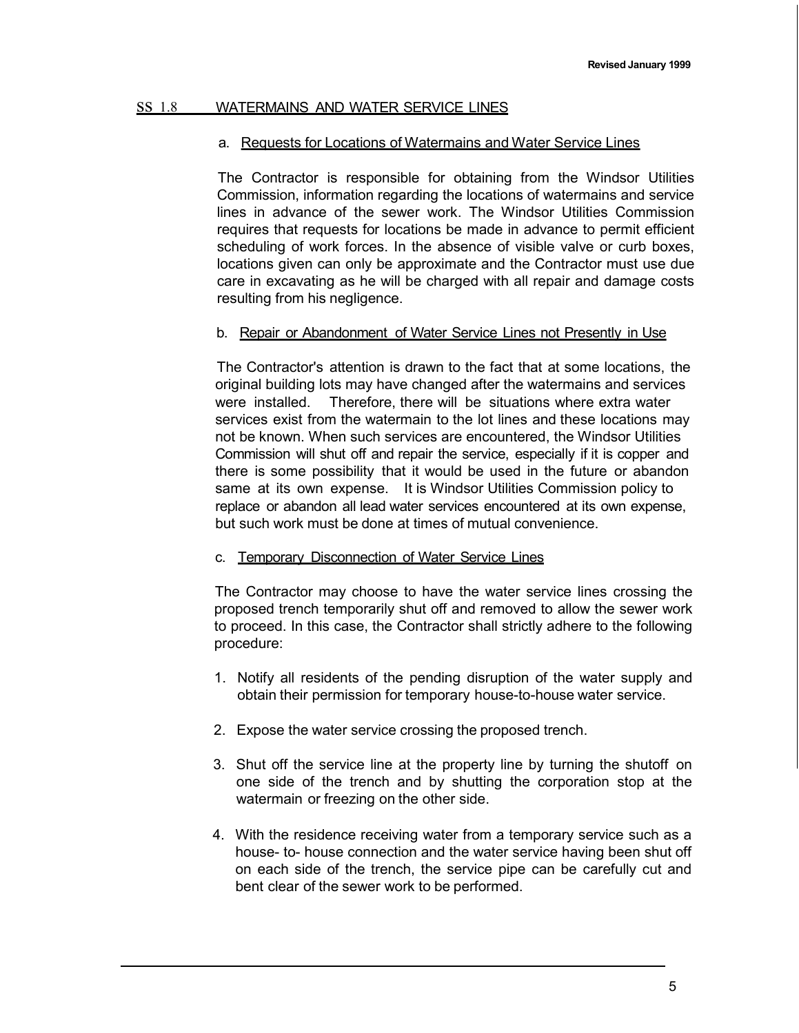## ss 1.8 WATERMAINS AND WATER SERVICE LINES

### a. Requests for Locations of Watermains and Water Service Lines

The Contractor is responsible for obtaining from the Windsor Utilities Commission, information regarding the locations of watermains and service lines in advance of the sewer work. The Windsor Utilities Commission requires that requests for locations be made in advance to permit efficient scheduling of work forces. In the absence of visible valve or curb boxes, locations given can only be approximate and the Contractor must use due care in excavating as he will be charged with all repair and damage costs resulting from his negligence.

### b. Repair or Abandonment of Water Service Lines not Presently in Use

The Contractor's attention is drawn to the fact that at some locations, the original building lots may have changed after the watermains and services were installed. Therefore, there will be situations where extra water services exist from the watermain to the lot lines and these locations may not be known. When such services are encountered, the Windsor Utilities Commission will shut off and repair the service, especially if it is copper and there is some possibility that it would be used in the future or abandon same at its own expense. It is Windsor Utilities Commission policy to replace or abandon all lead water services encountered at its own expense, but such work must be done at times of mutual convenience.

### c. Temporary Disconnection of Water Service Lines

The Contractor may choose to have the water service lines crossing the proposed trench temporarily shut off and removed to allow the sewer work to proceed. In this case, the Contractor shall strictly adhere to the following procedure:

- 1. Notify all residents of the pending disruption of the water supply and obtain their permission for temporary house-to-house water service.
- 2. Expose the water service crossing the proposed trench.
- 3. Shut off the service line at the property line by turning the shutoff on one side of the trench and by shutting the corporation stop at the watermain or freezing on the other side.
- 4. With the residence receiving water from a temporary service such as a house- to- house connection and the water service having been shut off on each side of the trench, the service pipe can be carefully cut and bent clear of the sewer work to be performed.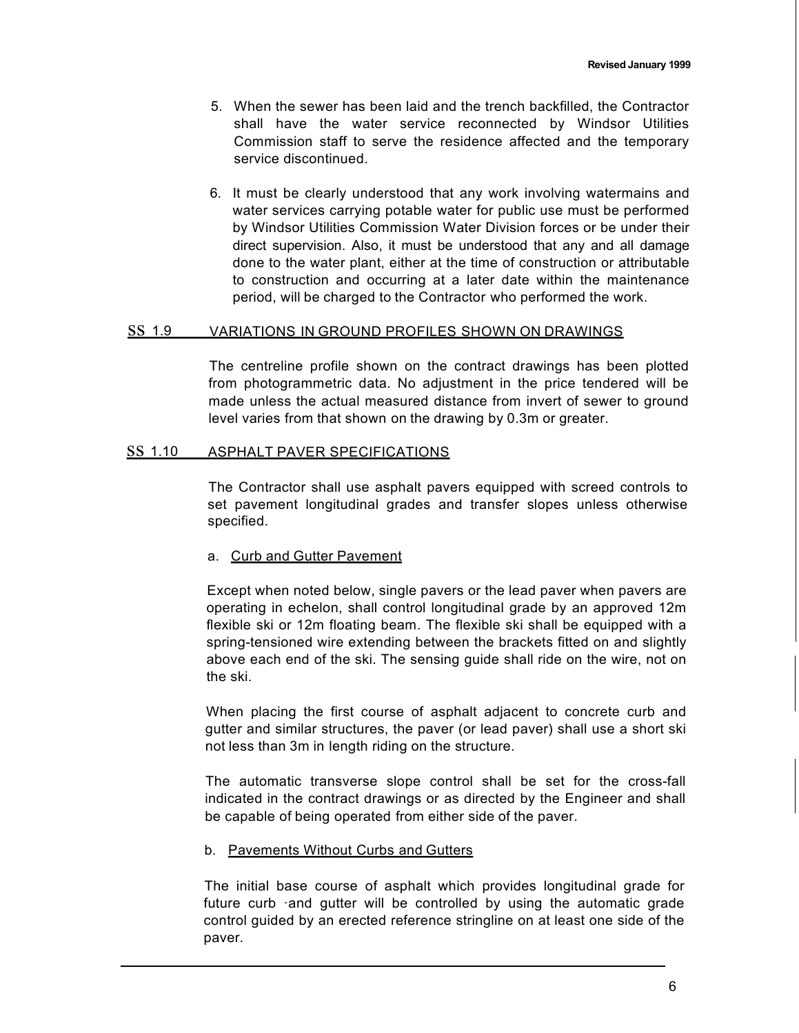- 5. When the sewer has been laid and the trench backfilled, the Contractor shall have the water service reconnected by Windsor Utilities Commission staff to serve the residence affected and the temporary service discontinued.
- 6. It must be clearly understood that any work involving watermains and water services carrying potable water for public use must be performed by Windsor Utilities Commission Water Division forces or be under their direct supervision. Also, it must be understood that any and all damage done to the water plant, either at the time of construction or attributable to construction and occurring at a later date within the maintenance period, will be charged to the Contractor who performed the work.

#### ss 1.9 VARIATIONS IN GROUND PROFILES SHOWN ON DRAWINGS

The centreline profile shown on the contract drawings has been plotted from photogrammetric data. No adjustment in the price tendered will be made unless the actual measured distance from invert of sewer to ground level varies from that shown on the drawing by 0.3m or greater.

#### SS 1.10 ASPHALT PAVER SPECIFICATIONS

The Contractor shall use asphalt pavers equipped with screed controls to set pavement longitudinal grades and transfer slopes unless otherwise specified.

#### a. Curb and Gutter Pavement

Except when noted below, single pavers or the lead paver when pavers are operating in echelon, shall control longitudinal grade by an approved 12m flexible ski or 12m floating beam. The flexible ski shall be equipped with a spring-tensioned wire extending between the brackets fitted on and slightly above each end of the ski. The sensing guide shall ride on the wire, not on the ski.

When placing the first course of asphalt adjacent to concrete curb and gutter and similar structures, the paver (or lead paver) shall use a short ski not less than 3m in length riding on the structure.

The automatic transverse slope control shall be set for the cross-fall indicated in the contract drawings or as directed by the Engineer and shall be capable of being operated from either side of the paver.

#### b. Pavements Without Curbs and Gutters

The initial base course of asphalt which provides longitudinal grade for future curb ·and gutter will be controlled by using the automatic grade control guided by an erected reference stringline on at least one side of the paver.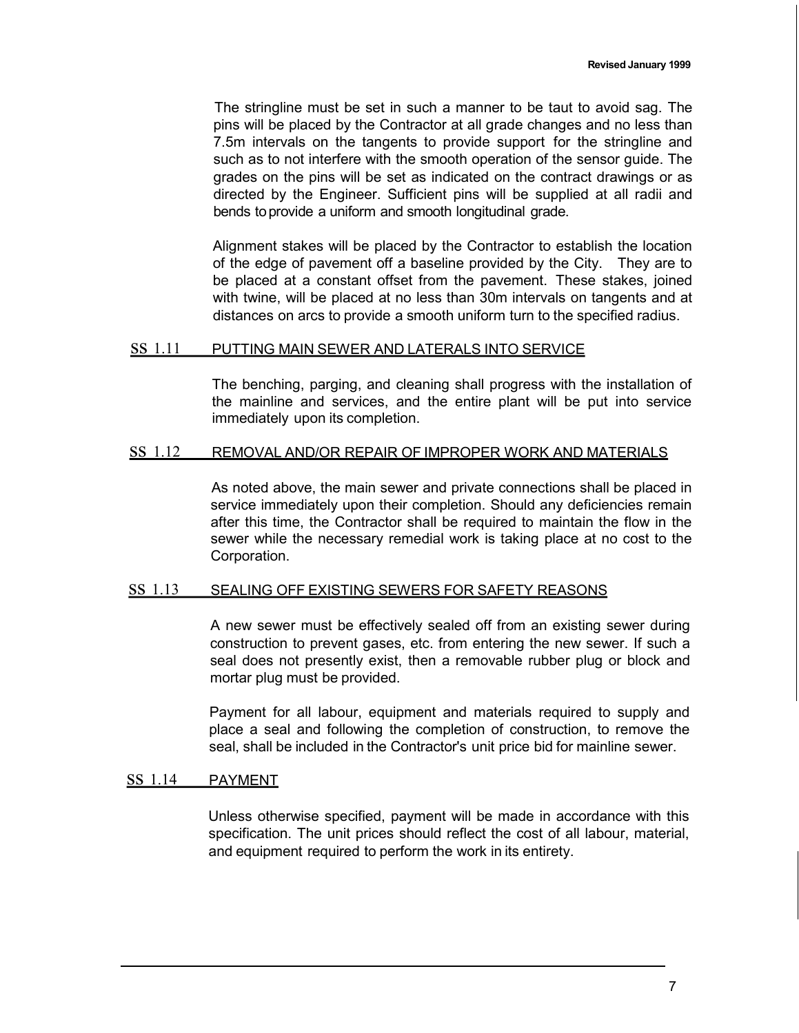The stringline must be set in such a manner to be taut to avoid sag. The pins will be placed by the Contractor at all grade changes and no less than 7.5m intervals on the tangents to provide support for the stringline and such as to not interfere with the smooth operation of the sensor guide. The grades on the pins will be set as indicated on the contract drawings or as directed by the Engineer. Sufficient pins will be supplied at all radii and bends toprovide a uniform and smooth longitudinal grade.

Alignment stakes will be placed by the Contractor to establish the location of the edge of pavement off a baseline provided by the City. They are to be placed at a constant offset from the pavement. These stakes, joined with twine, will be placed at no less than 30m intervals on tangents and at distances on arcs to provide a smooth uniform turn to the specified radius.

#### ss 1.11 PUTTING MAIN SEWER AND LATERALS INTO SERVICE

The benching, parging, and cleaning shall progress with the installation of the mainline and services, and the entire plant will be put into service immediately upon its completion.

### ss 1.12 REMOVAL AND/OR REPAIR OF IMPROPER WORK AND MATERIALS

As noted above, the main sewer and private connections shall be placed in service immediately upon their completion. Should any deficiencies remain after this time, the Contractor shall be required to maintain the flow in the sewer while the necessary remedial work is taking place at no cost to the Corporation.

### ss 1.13 SEALING OFF EXISTING SEWERS FOR SAFETY REASONS

A new sewer must be effectively sealed off from an existing sewer during construction to prevent gases, etc. from entering the new sewer. If such a seal does not presently exist, then a removable rubber plug or block and mortar plug must be provided.

Payment for all labour, equipment and materials required to supply and place a seal and following the completion of construction, to remove the seal, shall be included in the Contractor's unit price bid for mainline sewer.

### ss 1.14 PAYMENT

Unless otherwise specified, payment will be made in accordance with this specification. The unit prices should reflect the cost of all labour, material, and equipment required to perform the work in its entirety.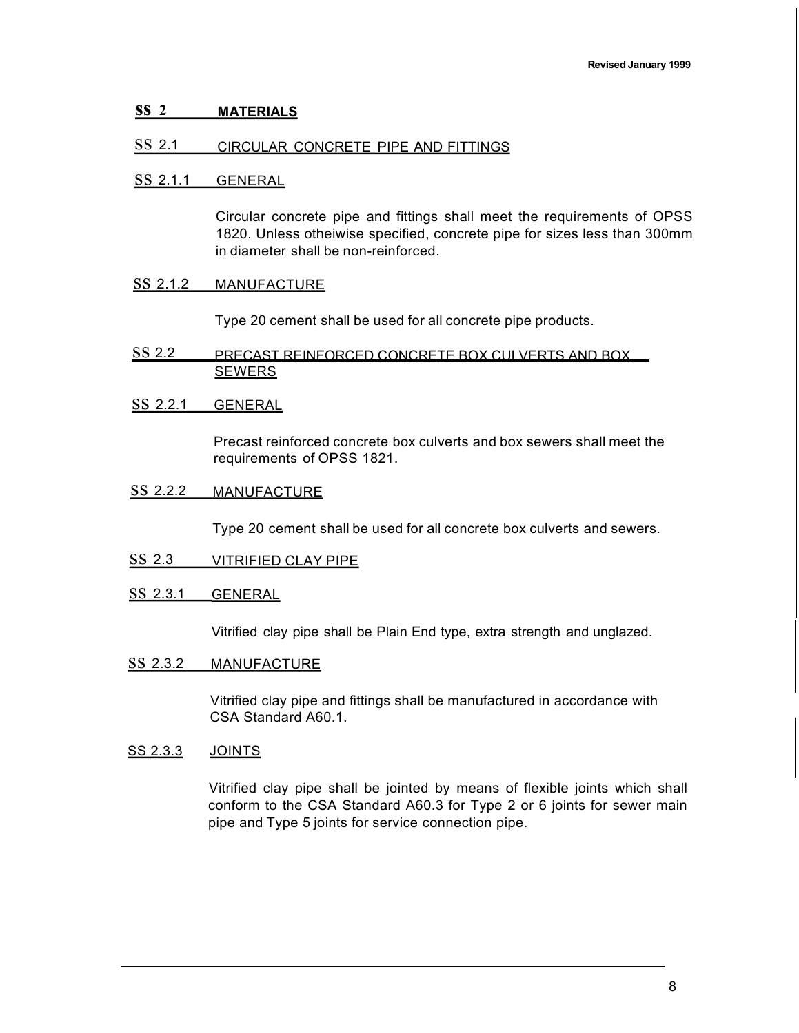### **ss 2 MATERIALS**

### ss 2.1 CIRCULAR CONCRETE PIPE AND FITTINGS

#### ss 2.1.1 GENERAL

Circular concrete pipe and fittings shall meet the requirements of OPSS 1820. Unless otheiwise specified, concrete pipe for sizes less than 300mm in diameter shall be non-reinforced.

#### ss 2.1.2 MANUFACTURE

Type 20 cement shall be used for all concrete pipe products.

- ss 2.2 PRECAST REINFORCED CONCRETE BOX CULVERTS AND BOX SEWERS
- ss 2.2.1 GENERAL

Precast reinforced concrete box culverts and box sewers shall meet the requirements of OPSS 1821.

ss 2.2.2 MANUFACTURE

Type 20 cement shall be used for all concrete box culverts and sewers.

- ss 2.3 VITRIFIED CLAY PIPE
- ss 2.3.1 GENERAL

Vitrified clay pipe shall be Plain End type, extra strength and unglazed.

ss 2.3.2 MANUFACTURE

Vitrified clay pipe and fittings shall be manufactured in accordance with CSA Standard A60.1.

#### SS 2.3.3 JOINTS

Vitrified clay pipe shall be jointed by means of flexible joints which shall conform to the CSA Standard A60.3 for Type 2 or 6 joints for sewer main pipe and Type 5 joints for service connection pipe.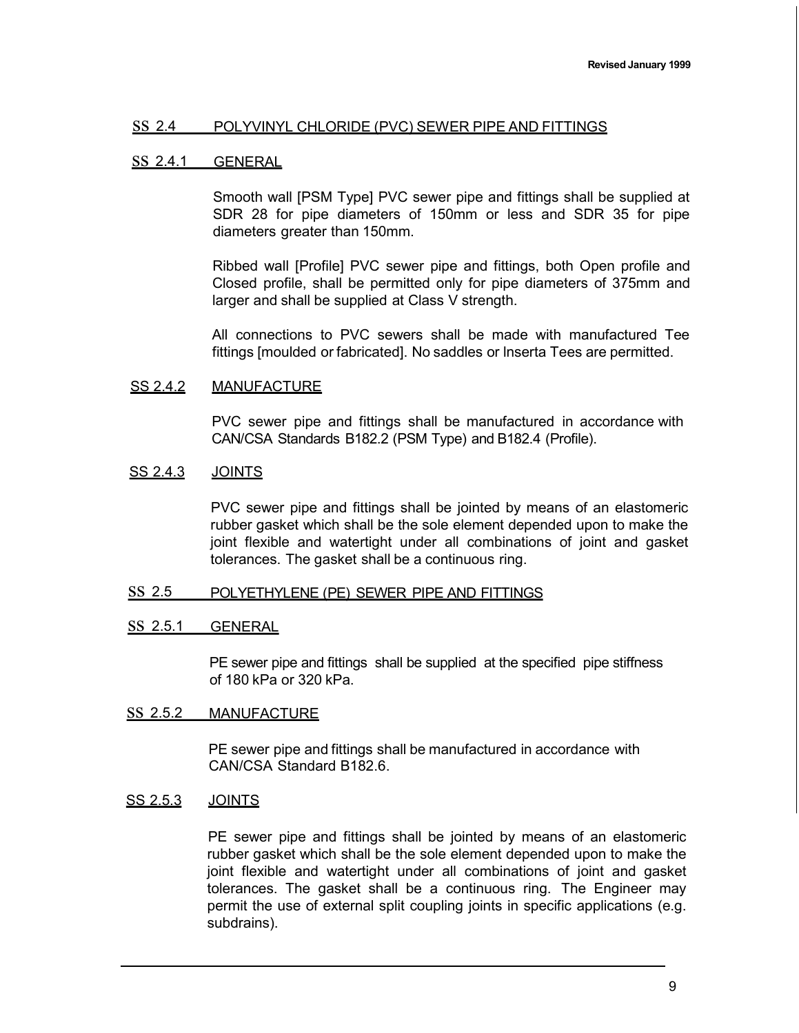#### ss 2.4 POLYVINYL CHLORIDE (PVC) SEWER PIPE AND FITTINGS

#### ss 2.4.1 GENERAL

Smooth wall [PSM Type] PVC sewer pipe and fittings shall be supplied at SDR 28 for pipe diameters of 150mm or less and SDR 35 for pipe diameters greater than 150mm.

Ribbed wall [Profile] PVC sewer pipe and fittings, both Open profile and Closed profile, shall be permitted only for pipe diameters of 375mm and larger and shall be supplied at Class V strength.

All connections to PVC sewers shall be made with manufactured Tee fittings [moulded or fabricated]. No saddles or lnserta Tees are permitted.

### SS 2.4.2 MANUFACTURE

PVC sewer pipe and fittings shall be manufactured in accordance with CAN/CSA Standards B182.2 (PSM Type) and B182.4 (Profile).

#### SS 2.4.3 JOINTS

PVC sewer pipe and fittings shall be jointed by means of an elastomeric rubber gasket which shall be the sole element depended upon to make the joint flexible and watertight under all combinations of joint and gasket tolerances. The gasket shall be a continuous ring.

#### ss 2.5 POLYETHYLENE (PE) SEWER PIPE AND FITTINGS

#### ss 2.5.1 GENERAL

PE sewer pipe and fittings shall be supplied at the specified pipe stiffness of 180 kPa or 320 kPa.

#### ss 2.5.2 MANUFACTURE

PE sewer pipe and fittings shall be manufactured in accordance with CAN/CSA Standard B182.6.

### SS 2.5.3 JOINTS

PE sewer pipe and fittings shall be jointed by means of an elastomeric rubber gasket which shall be the sole element depended upon to make the joint flexible and watertight under all combinations of joint and gasket tolerances. The gasket shall be a continuous ring. The Engineer may permit the use of external split coupling joints in specific applications (e.g. subdrains).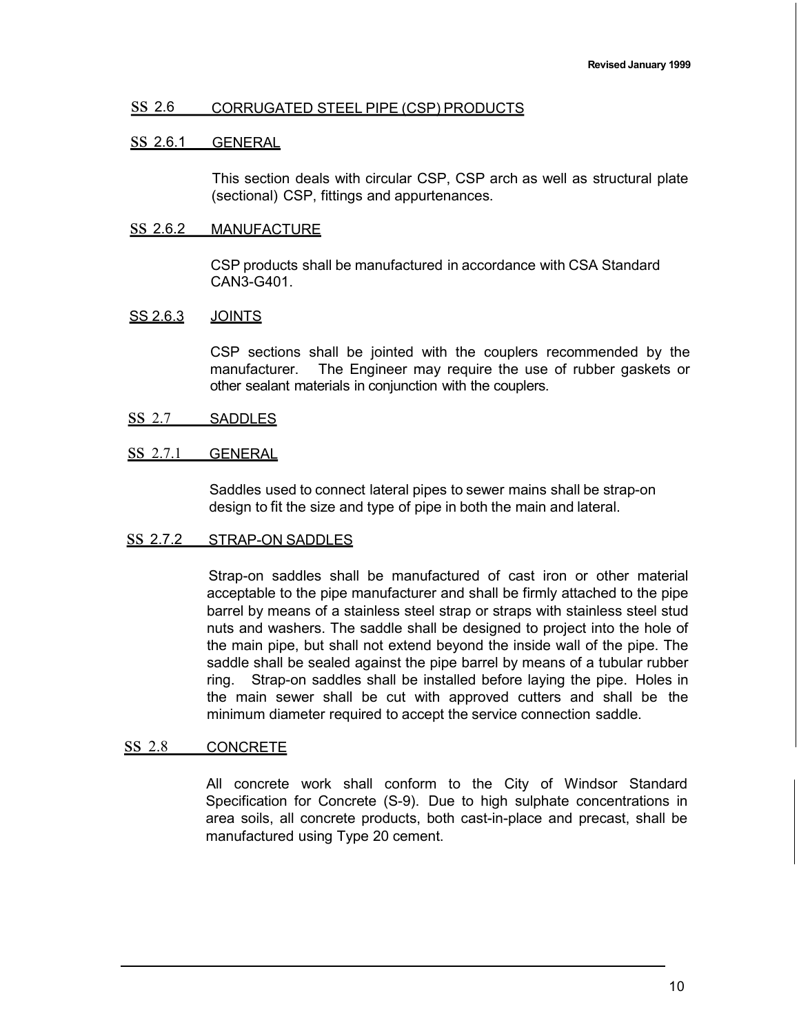## ss 2.6 CORRUGATED STEEL PIPE (CSP) PRODUCTS

## ss 2.6.1 GENERAL

This section deals with circular CSP, CSP arch as well as structural plate (sectional) CSP, fittings and appurtenances.

### ss 2.6.2 MANUFACTURE

CSP products shall be manufactured in accordance with CSA Standard CAN3-G401.

## SS 2.6.3 JOINTS

CSP sections shall be jointed with the couplers recommended by the manufacturer. The Engineer may require the use of rubber gaskets or other sealant materials in conjunction with the couplers.

ss 2.7 SADDLES

## SS 2.7.1 GENERAL

Saddles used to connect lateral pipes to sewer mains shall be strap-on design to fit the size and type of pipe in both the main and lateral.

### ss 2.7.2 STRAP-ON SADDLES

Strap-on saddles shall be manufactured of cast iron or other material acceptable to the pipe manufacturer and shall be firmly attached to the pipe barrel by means of a stainless steel strap or straps with stainless steel stud nuts and washers. The saddle shall be designed to project into the hole of the main pipe, but shall not extend beyond the inside wall of the pipe. The saddle shall be sealed against the pipe barrel by means of a tubular rubber ring. Strap-on saddles shall be installed before laying the pipe. Holes in the main sewer shall be cut with approved cutters and shall be the minimum diameter required to accept the service connection saddle.

### ss 2.8 CONCRETE

All concrete work shall conform to the City of Windsor Standard Specification for Concrete (S-9). Due to high sulphate concentrations in area soils, all concrete products, both cast-in-place and precast, shall be manufactured using Type 20 cement.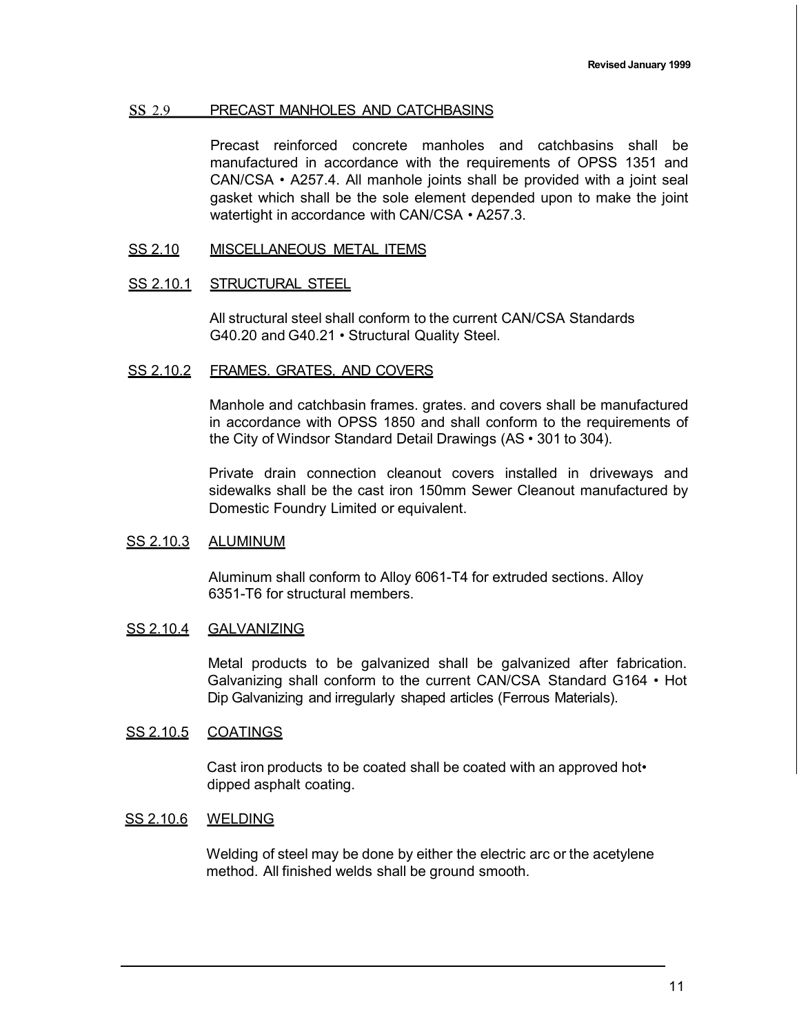### ss 2.9 PRECAST MANHOLES AND CATCHBASINS

Precast reinforced concrete manholes and catchbasins shall be manufactured in accordance with the requirements of OPSS 1351 and CAN/CSA • A257.4. All manhole joints shall be provided with a joint seal gasket which shall be the sole element depended upon to make the joint watertight in accordance with CAN/CSA • A257.3.

### SS 2.10 MISCELLANEOUS METAL ITEMS

### SS 2.10.1 STRUCTURAL STEEL

All structural steel shall conform to the current CAN/CSA Standards G40.20 and G40.21 • Structural Quality Steel.

### SS 2.10.2 FRAMES. GRATES, AND COVERS

Manhole and catchbasin frames. grates. and covers shall be manufactured in accordance with OPSS 1850 and shall conform to the requirements of the City of Windsor Standard Detail Drawings (AS • 301 to 304).

Private drain connection cleanout covers installed in driveways and sidewalks shall be the cast iron 150mm Sewer Cleanout manufactured by Domestic Foundry Limited or equivalent.

#### SS 2.10.3 ALUMINUM

Aluminum shall conform to Alloy 6061-T4 for extruded sections. Alloy 6351-T6 for structural members.

### SS 2.10.4 GALVANIZING

Metal products to be galvanized shall be galvanized after fabrication. Galvanizing shall conform to the current CAN/CSA Standard G164 • Hot Dip Galvanizing and irregularly shaped articles (Ferrous Materials).

### SS 2.10.5 COATINGS

Cast iron products to be coated shall be coated with an approved hot• dipped asphalt coating.

#### SS 2.10.6 WELDING

Welding of steel may be done by either the electric arc or the acetylene method. All finished welds shall be ground smooth.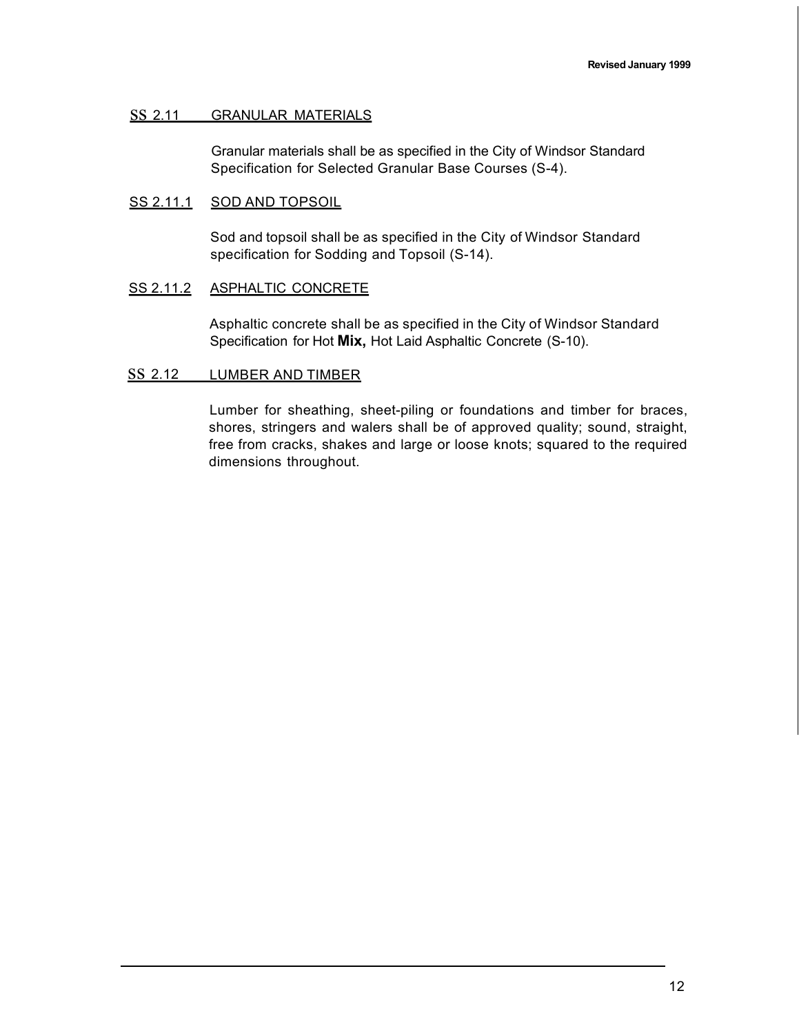### ss 2.11 GRANULAR MATERIALS

Granular materials shall be as specified in the City of Windsor Standard Specification for Selected Granular Base Courses (S-4).

### SS 2.11.1 SOD AND TOPSOIL

Sod and topsoil shall be as specified in the City of Windsor Standard specification for Sodding and Topsoil (S-14).

### SS 2.11.2 ASPHALTIC CONCRETE

Asphaltic concrete shall be as specified in the City of Windsor Standard Specification for Hot **Mix,** Hot Laid Asphaltic Concrete (S-10).

#### SS 2.12 LUMBER AND TIMBER

Lumber for sheathing, sheet-piling or foundations and timber for braces, shores, stringers and walers shall be of approved quality; sound, straight, free from cracks, shakes and large or loose knots; squared to the required dimensions throughout.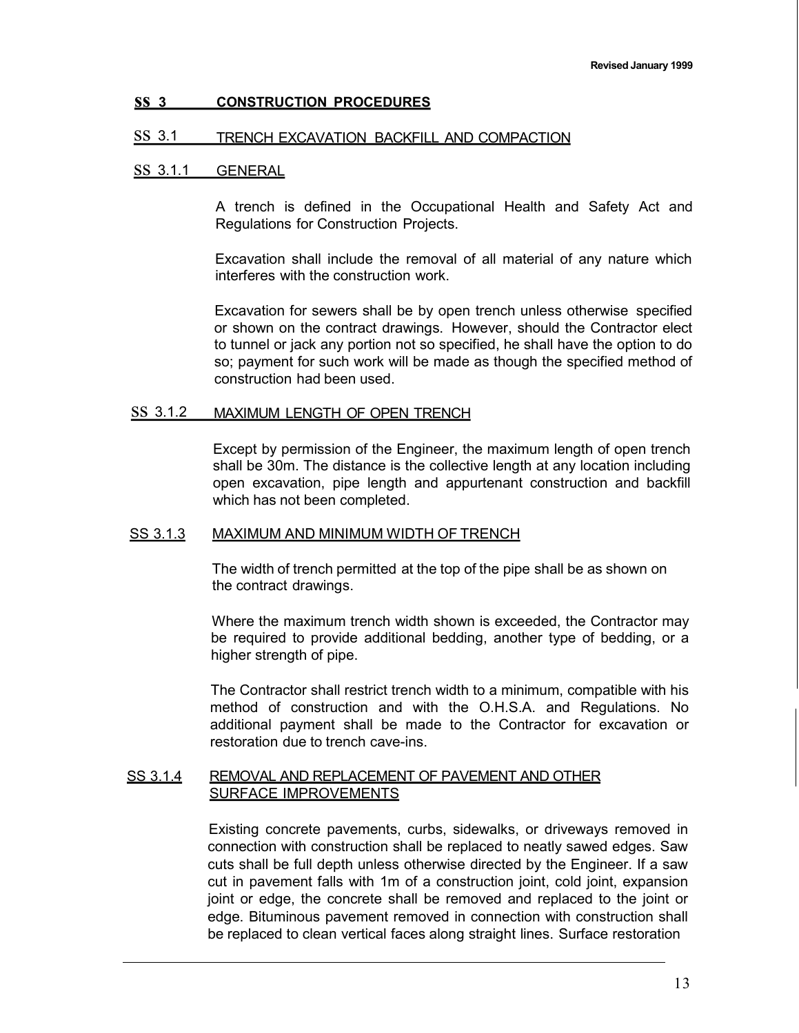### **ss <sup>3</sup> CONSTRUCTION PROCEDURES**

### ss 3.1 TRENCH EXCAVATION BACKFILL AND COMPACTION

#### ss 3.1.1 GENERAL

A trench is defined in the Occupational Health and Safety Act and Regulations for Construction Projects.

Excavation shall include the removal of all material of any nature which interferes with the construction work.

Excavation for sewers shall be by open trench unless otherwise specified or shown on the contract drawings. However, should the Contractor elect to tunnel or jack any portion not so specified, he shall have the option to do so; payment for such work will be made as though the specified method of construction had been used.

### ss 3.1.2 MAXIMUM LENGTH OF OPEN TRENCH

Except by permission of the Engineer, the maximum length of open trench shall be 30m. The distance is the collective length at any location including open excavation, pipe length and appurtenant construction and backfill which has not been completed.

#### SS 3.1.3 MAXIMUM AND MINIMUM WIDTH OF TRENCH

The width of trench permitted at the top of the pipe shall be as shown on the contract drawings.

Where the maximum trench width shown is exceeded, the Contractor may be required to provide additional bedding, another type of bedding, or a higher strength of pipe.

The Contractor shall restrict trench width to a minimum, compatible with his method of construction and with the O.H.S.A. and Regulations. No additional payment shall be made to the Contractor for excavation or restoration due to trench cave-ins.

### SS 3.1.4 REMOVAL AND REPLACEMENT OF PAVEMENT AND OTHER SURFACE IMPROVEMENTS

Existing concrete pavements, curbs, sidewalks, or driveways removed in connection with construction shall be replaced to neatly sawed edges. Saw cuts shall be full depth unless otherwise directed by the Engineer. If a saw cut in pavement falls with 1m of a construction joint, cold joint, expansion joint or edge, the concrete shall be removed and replaced to the joint or edge. Bituminous pavement removed in connection with construction shall be replaced to clean vertical faces along straight lines. Surface restoration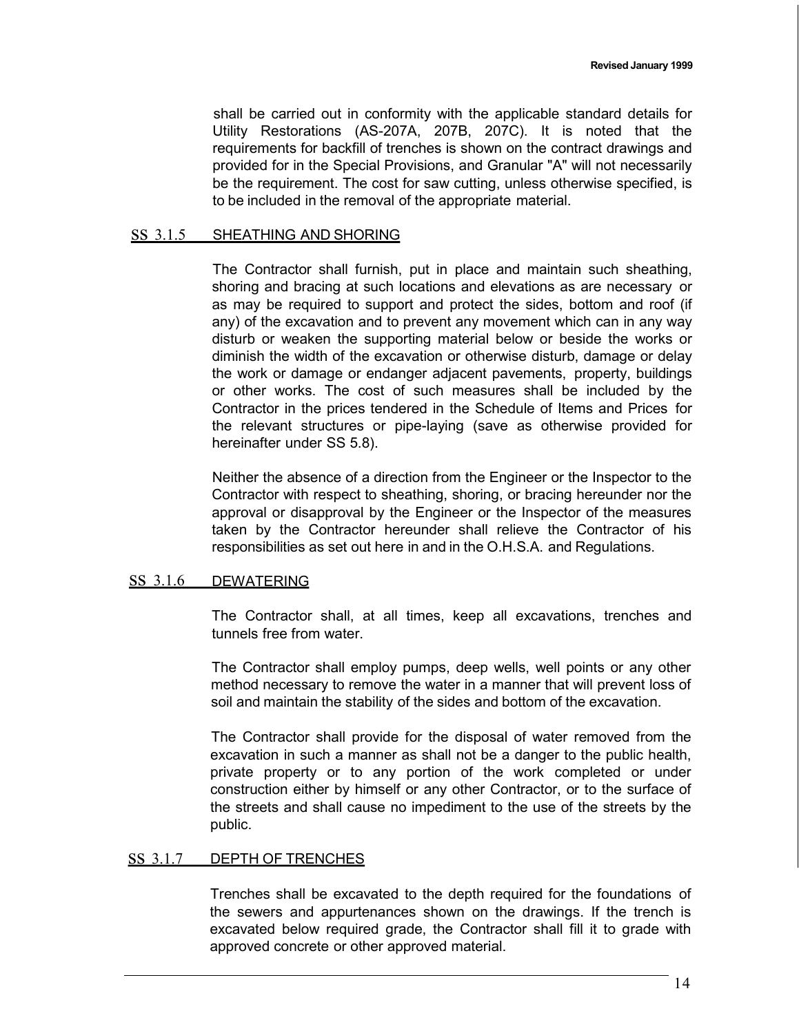shall be carried out in conformity with the applicable standard details for Utility Restorations (AS-207A, 207B, 207C). It is noted that the requirements for backfill of trenches is shown on the contract drawings and provided for in the Special Provisions, and Granular "A" will not necessarily be the requirement. The cost for saw cutting, unless otherwise specified, is to be included in the removal of the appropriate material.

#### ss 3.1.5 SHEATHING AND SHORING

The Contractor shall furnish, put in place and maintain such sheathing, shoring and bracing at such locations and elevations as are necessary or as may be required to support and protect the sides, bottom and roof (if any) of the excavation and to prevent any movement which can in any way disturb or weaken the supporting material below or beside the works or diminish the width of the excavation or otherwise disturb, damage or delay the work or damage or endanger adjacent pavements, property, buildings or other works. The cost of such measures shall be included by the Contractor in the prices tendered in the Schedule of Items and Prices for the relevant structures or pipe-laying (save as otherwise provided for hereinafter under SS 5.8).

Neither the absence of a direction from the Engineer or the Inspector to the Contractor with respect to sheathing, shoring, or bracing hereunder nor the approval or disapproval by the Engineer or the Inspector of the measures taken by the Contractor hereunder shall relieve the Contractor of his responsibilities as set out here in and in the O.H.S.A. and Regulations.

## ss 3.1.6 DEWATERING

The Contractor shall, at all times, keep all excavations, trenches and tunnels free from water.

The Contractor shall employ pumps, deep wells, well points or any other method necessary to remove the water in a manner that will prevent loss of soil and maintain the stability of the sides and bottom of the excavation.

The Contractor shall provide for the disposal of water removed from the excavation in such a manner as shall not be a danger to the public health, private property or to any portion of the work completed or under construction either by himself or any other Contractor, or to the surface of the streets and shall cause no impediment to the use of the streets by the public.

### ss 3.1.7 DEPTH OF TRENCHES

Trenches shall be excavated to the depth required for the foundations of the sewers and appurtenances shown on the drawings. If the trench is excavated below required grade, the Contractor shall fill it to grade with approved concrete or other approved material.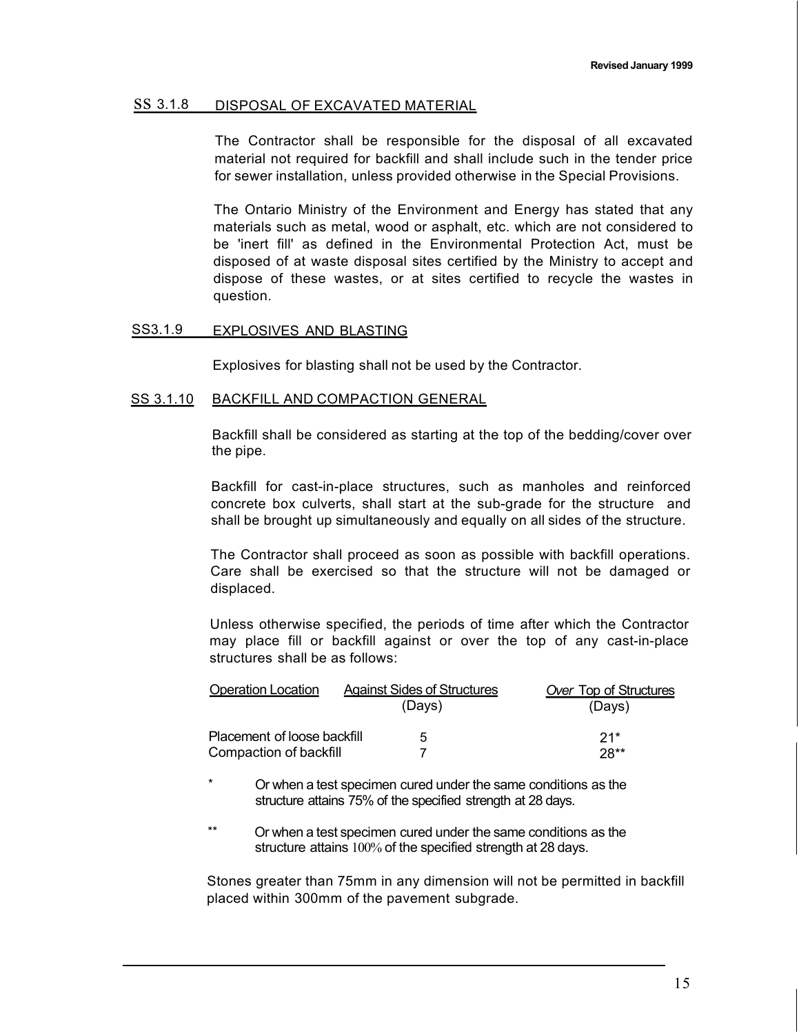#### ss 3.1.8 DISPOSAL OF EXCAVATED MATERIAL

The Contractor shall be responsible for the disposal of all excavated material not required for backfill and shall include such in the tender price for sewer installation, unless provided otherwise in the Special Provisions.

The Ontario Ministry of the Environment and Energy has stated that any materials such as metal, wood or asphalt, etc. which are not considered to be 'inert fill' as defined in the Environmental Protection Act, must be disposed of at waste disposal sites certified by the Ministry to accept and dispose of these wastes, or at sites certified to recycle the wastes in question.

#### SS3.1.9 EXPLOSIVES AND BLASTING

Explosives for blasting shall not be used by the Contractor.

#### SS 3.1.10 BACKFILL AND COMPACTION GENERAL

Backfill shall be considered as starting at the top of the bedding/cover over the pipe.

Backfill for cast-in-place structures, such as manholes and reinforced concrete box culverts, shall start at the sub-grade for the structure and shall be brought up simultaneously and equally on all sides of the structure.

The Contractor shall proceed as soon as possible with backfill operations. Care shall be exercised so that the structure will not be damaged or displaced.

Unless otherwise specified, the periods of time after which the Contractor may place fill or backfill against or over the top of any cast-in-place structures shall be as follows:

| <b>Operation Location</b>   | <b>Against Sides of Structures</b> | <b>Over Top of Structures</b> |
|-----------------------------|------------------------------------|-------------------------------|
|                             | (Days)                             | (Days)                        |
| Placement of loose backfill | $\mathbf{h}$                       | $21*$                         |
| Compaction of backfill      |                                    | $28**$                        |

Or when a test specimen cured under the same conditions as the structure attains 75% of the specified strength at 28 days.

\*\* Or when a test specimen cured under the same conditions as the structure attains 100% of the specified strength at 28 days.

Stones greater than 75mm in any dimension will not be permitted in backfill placed within 300mm of the pavement subgrade.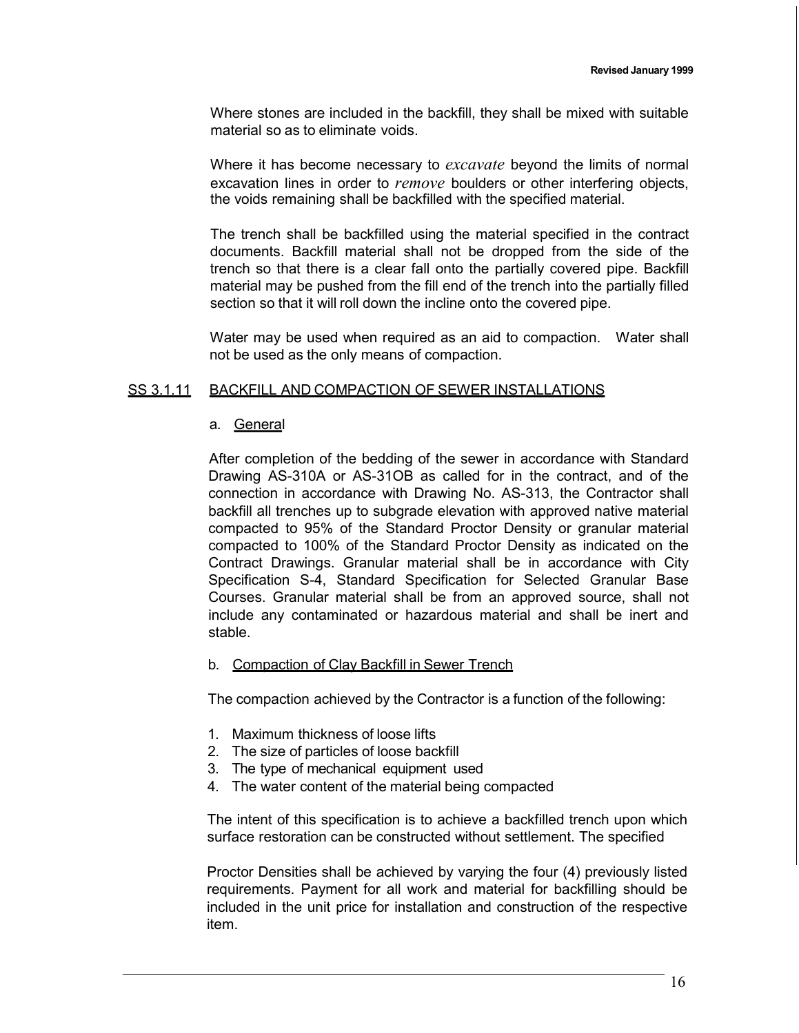Where stones are included in the backfill, they shall be mixed with suitable material so as to eliminate voids.

Where it has become necessary to *excavate* beyond the limits of normal excavation lines in order to *remove* boulders or other interfering objects, the voids remaining shall be backfilled with the specified material.

The trench shall be backfilled using the material specified in the contract documents. Backfill material shall not be dropped from the side of the trench so that there is a clear fall onto the partially covered pipe. Backfill material may be pushed from the fill end of the trench into the partially filled section so that it will roll down the incline onto the covered pipe.

Water may be used when required as an aid to compaction. Water shall not be used as the only means of compaction.

### SS 3.1.11 BACKFILL AND COMPACTION OF SEWER INSTALLATIONS

### a. General

After completion of the bedding of the sewer in accordance with Standard Drawing AS-310A or AS-31OB as called for in the contract, and of the connection in accordance with Drawing No. AS-313, the Contractor shall backfill all trenches up to subgrade elevation with approved native material compacted to 95% of the Standard Proctor Density or granular material compacted to 100% of the Standard Proctor Density as indicated on the Contract Drawings. Granular material shall be in accordance with City Specification S-4, Standard Specification for Selected Granular Base Courses. Granular material shall be from an approved source, shall not include any contaminated or hazardous material and shall be inert and stable.

#### b. Compaction of Clay Backfill in Sewer Trench

The compaction achieved by the Contractor is a function of the following:

- 1. Maximum thickness of loose lifts
- 2. The size of particles of loose backfill
- 3. The type of mechanical equipment used
- 4. The water content of the material being compacted

The intent of this specification is to achieve a backfilled trench upon which surface restoration can be constructed without settlement. The specified

Proctor Densities shall be achieved by varying the four (4) previously listed requirements. Payment for all work and material for backfilling should be included in the unit price for installation and construction of the respective item.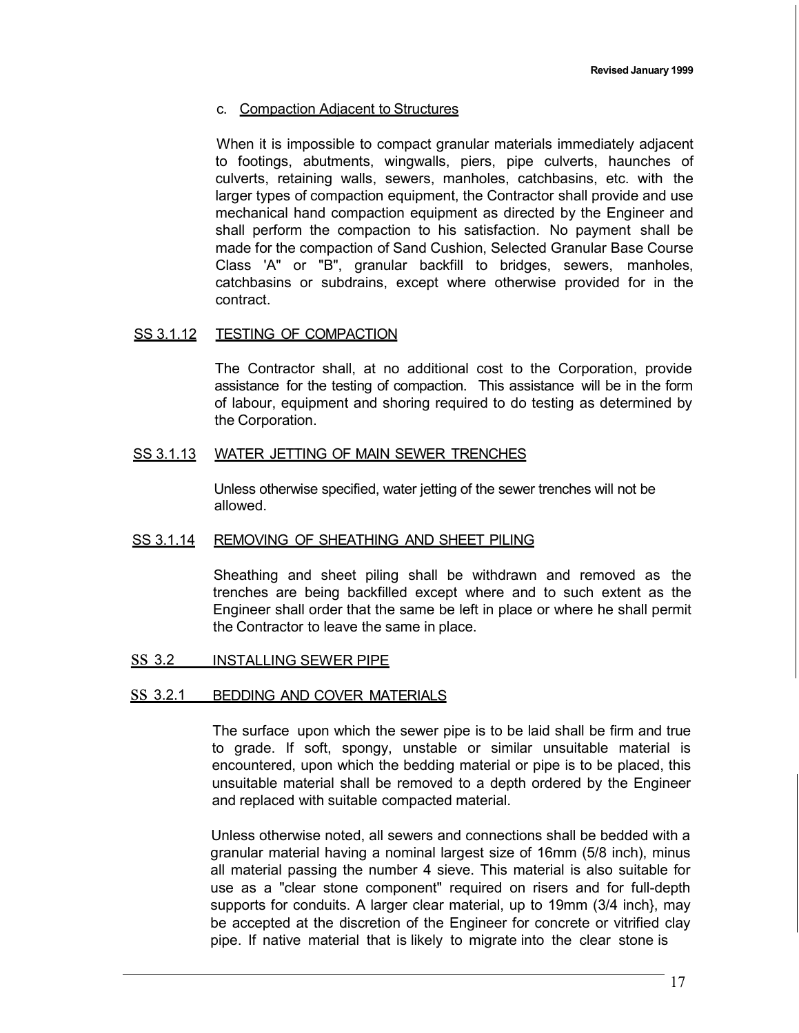### c. Compaction Adjacent to Structures

When it is impossible to compact granular materials immediately adjacent to footings, abutments, wingwalls, piers, pipe culverts, haunches of culverts, retaining walls, sewers, manholes, catchbasins, etc. with the larger types of compaction equipment, the Contractor shall provide and use mechanical hand compaction equipment as directed by the Engineer and shall perform the compaction to his satisfaction. No payment shall be made for the compaction of Sand Cushion, Selected Granular Base Course Class 'A" or "B", granular backfill to bridges, sewers, manholes, catchbasins or subdrains, except where otherwise provided for in the contract.

### SS 3.1.12 TESTING OF COMPACTION

The Contractor shall, at no additional cost to the Corporation, provide assistance for the testing of compaction. This assistance will be in the form of labour, equipment and shoring required to do testing as determined by the Corporation.

### SS 3.1.13 WATER JETTING OF MAIN SEWER TRENCHES

Unless otherwise specified, water jetting of the sewer trenches will not be allowed.

### SS 3.1.14 REMOVING OF SHEATHING AND SHEET PILING

Sheathing and sheet piling shall be withdrawn and removed as the trenches are being backfilled except where and to such extent as the Engineer shall order that the same be left in place or where he shall permit the Contractor to leave the same in place.

### ss 3.2 INSTALLING SEWER PIPE

#### SS 3.2.1 BEDDING AND COVER MATERIALS

The surface upon which the sewer pipe is to be laid shall be firm and true to grade. If soft, spongy, unstable or similar unsuitable material is encountered, upon which the bedding material or pipe is to be placed, this unsuitable material shall be removed to a depth ordered by the Engineer and replaced with suitable compacted material.

Unless otherwise noted, all sewers and connections shall be bedded with a granular material having a nominal largest size of 16mm (5/8 inch), minus all material passing the number 4 sieve. This material is also suitable for use as a "clear stone component" required on risers and for full-depth supports for conduits. A larger clear material, up to 19mm (3/4 inch}, may be accepted at the discretion of the Engineer for concrete or vitrified clay pipe. If native material that is likely to migrate into the clear stone is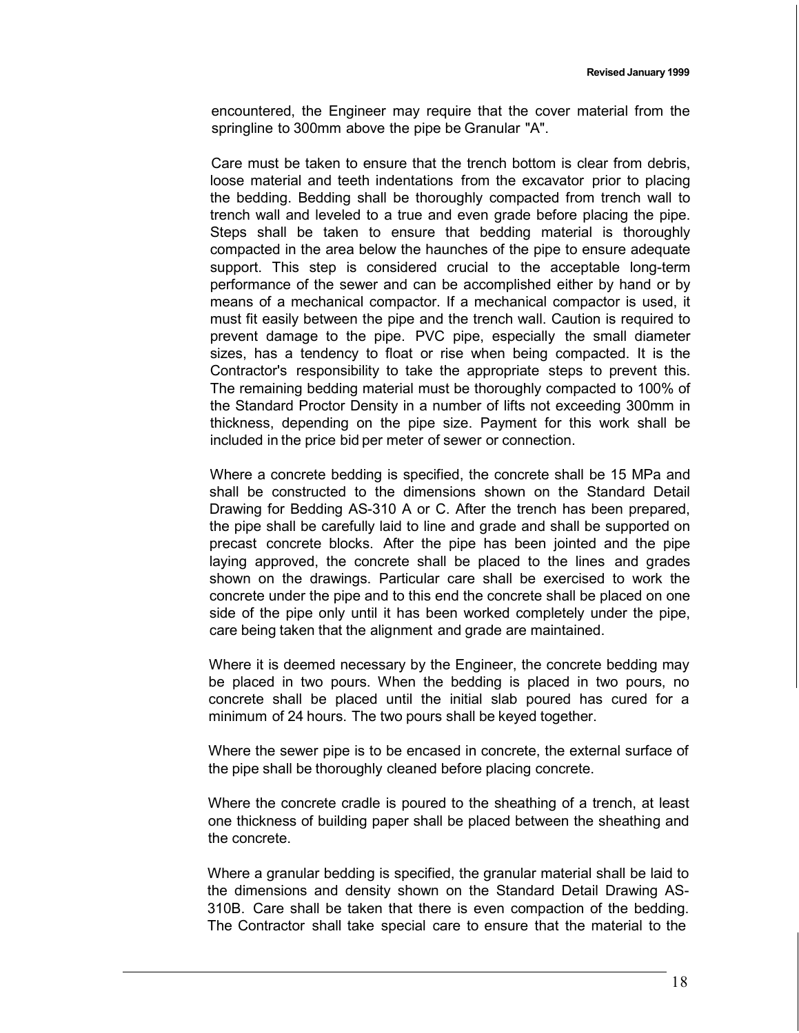encountered, the Engineer may require that the cover material from the springline to 300mm above the pipe be Granular "A".

Care must be taken to ensure that the trench bottom is clear from debris, loose material and teeth indentations from the excavator prior to placing the bedding. Bedding shall be thoroughly compacted from trench wall to trench wall and leveled to a true and even grade before placing the pipe. Steps shall be taken to ensure that bedding material is thoroughly compacted in the area below the haunches of the pipe to ensure adequate support. This step is considered crucial to the acceptable long-term performance of the sewer and can be accomplished either by hand or by means of a mechanical compactor. If a mechanical compactor is used, it must fit easily between the pipe and the trench wall. Caution is required to prevent damage to the pipe. PVC pipe, especially the small diameter sizes, has a tendency to float or rise when being compacted. It is the Contractor's responsibility to take the appropriate steps to prevent this. The remaining bedding material must be thoroughly compacted to 100% of the Standard Proctor Density in a number of lifts not exceeding 300mm in thickness, depending on the pipe size. Payment for this work shall be included in the price bid per meter of sewer or connection.

Where a concrete bedding is specified, the concrete shall be 15 MPa and shall be constructed to the dimensions shown on the Standard Detail Drawing for Bedding AS-310 A or C. After the trench has been prepared, the pipe shall be carefully laid to line and grade and shall be supported on precast concrete blocks. After the pipe has been jointed and the pipe laying approved, the concrete shall be placed to the lines and grades shown on the drawings. Particular care shall be exercised to work the concrete under the pipe and to this end the concrete shall be placed on one side of the pipe only until it has been worked completely under the pipe, care being taken that the alignment and grade are maintained.

Where it is deemed necessary by the Engineer, the concrete bedding may be placed in two pours. When the bedding is placed in two pours, no concrete shall be placed until the initial slab poured has cured for a minimum of 24 hours. The two pours shall be keyed together.

Where the sewer pipe is to be encased in concrete, the external surface of the pipe shall be thoroughly cleaned before placing concrete.

Where the concrete cradle is poured to the sheathing of a trench, at least one thickness of building paper shall be placed between the sheathing and the concrete.

Where a granular bedding is specified, the granular material shall be laid to the dimensions and density shown on the Standard Detail Drawing AS-310B. Care shall be taken that there is even compaction of the bedding. The Contractor shall take special care to ensure that the material to the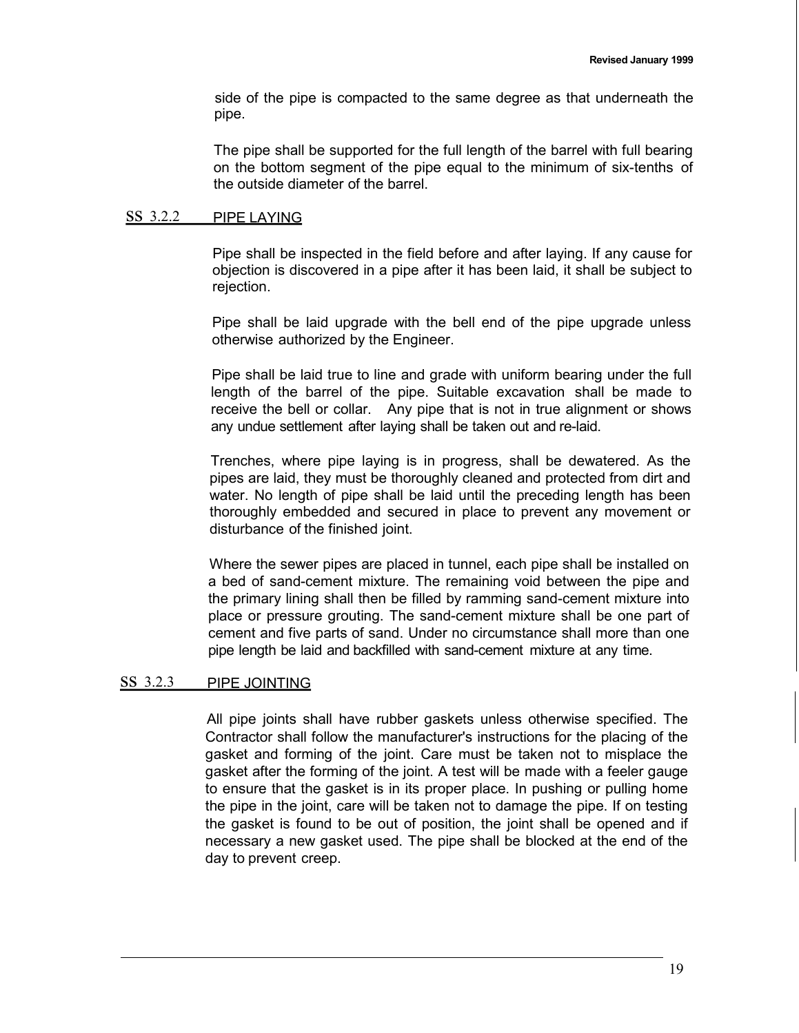side of the pipe is compacted to the same degree as that underneath the pipe.

The pipe shall be supported for the full length of the barrel with full bearing on the bottom segment of the pipe equal to the minimum of six-tenths of the outside diameter of the barrel.

### ss 3.2.2 PIPE LAYING

Pipe shall be inspected in the field before and after laying. If any cause for objection is discovered in a pipe after it has been laid, it shall be subject to rejection.

Pipe shall be laid upgrade with the bell end of the pipe upgrade unless otherwise authorized by the Engineer.

Pipe shall be laid true to line and grade with uniform bearing under the full length of the barrel of the pipe. Suitable excavation shall be made to receive the bell or collar. Any pipe that is not in true alignment or shows any undue settlement after laying shall be taken out and re-laid.

Trenches, where pipe laying is in progress, shall be dewatered. As the pipes are laid, they must be thoroughly cleaned and protected from dirt and water. No length of pipe shall be laid until the preceding length has been thoroughly embedded and secured in place to prevent any movement or disturbance of the finished joint.

Where the sewer pipes are placed in tunnel, each pipe shall be installed on a bed of sand-cement mixture. The remaining void between the pipe and the primary lining shall then be filled by ramming sand-cement mixture into place or pressure grouting. The sand-cement mixture shall be one part of cement and five parts of sand. Under no circumstance shall more than one pipe length be laid and backfilled with sand-cement mixture at any time.

## ss 3.2.3 PIPE JOINTING

All pipe joints shall have rubber gaskets unless otherwise specified. The Contractor shall follow the manufacturer's instructions for the placing of the gasket and forming of the joint. Care must be taken not to misplace the gasket after the forming of the joint. A test will be made with a feeler gauge to ensure that the gasket is in its proper place. In pushing or pulling home the pipe in the joint, care will be taken not to damage the pipe. If on testing the gasket is found to be out of position, the joint shall be opened and if necessary a new gasket used. The pipe shall be blocked at the end of the day to prevent creep.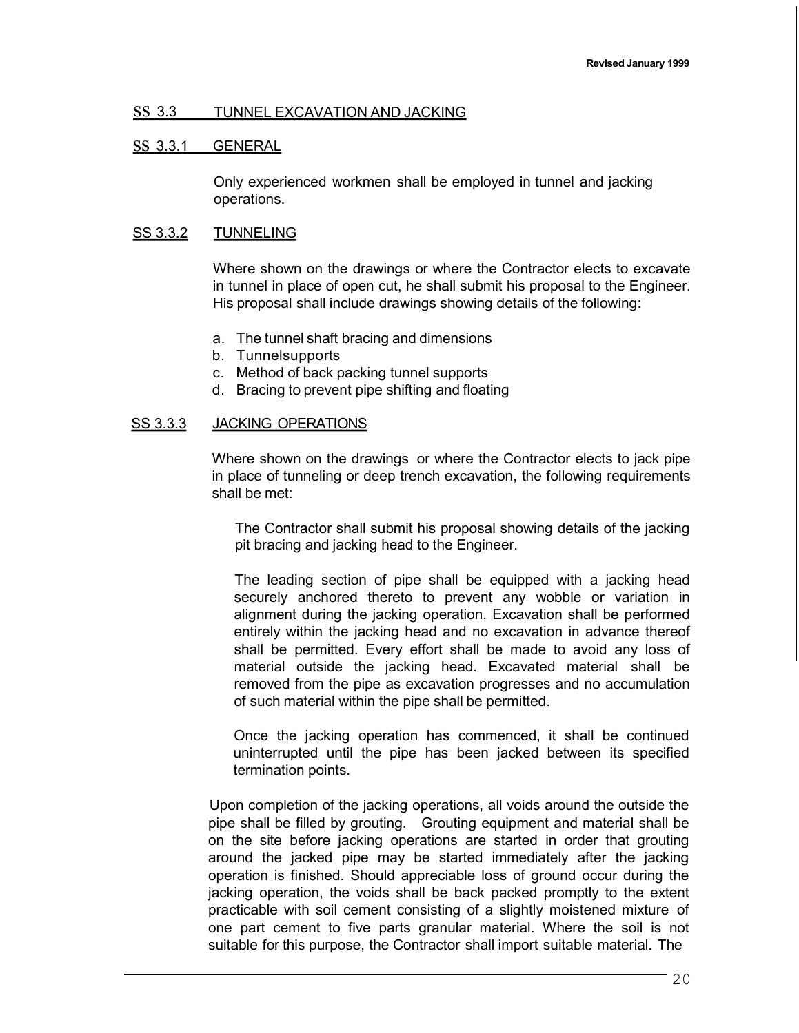### ss 3.3 TUNNEL EXCAVATION AND JACKING

### ss 3.3.1 GENERAL

Only experienced workmen shall be employed in tunnel and jacking operations.

### SS 3.3.2 TUNNELING

Where shown on the drawings or where the Contractor elects to excavate in tunnel in place of open cut, he shall submit his proposal to the Engineer. His proposal shall include drawings showing details of the following:

- a. The tunnel shaft bracing and dimensions
- b. Tunnelsupports
- c. Method of back packing tunnel supports
- d. Bracing to prevent pipe shifting and floating

### SS 3.3.3 JACKING OPERATIONS

Where shown on the drawings or where the Contractor elects to jack pipe in place of tunneling or deep trench excavation, the following requirements shall be met:

The Contractor shall submit his proposal showing details of the jacking pit bracing and jacking head to the Engineer.

The leading section of pipe shall be equipped with a jacking head securely anchored thereto to prevent any wobble or variation in alignment during the jacking operation. Excavation shall be performed entirely within the jacking head and no excavation in advance thereof shall be permitted. Every effort shall be made to avoid any loss of material outside the jacking head. Excavated material shall be removed from the pipe as excavation progresses and no accumulation of such material within the pipe shall be permitted.

Once the jacking operation has commenced, it shall be continued uninterrupted until the pipe has been jacked between its specified termination points.

Upon completion of the jacking operations, all voids around the outside the pipe shall be filled by grouting. Grouting equipment and material shall be on the site before jacking operations are started in order that grouting around the jacked pipe may be started immediately after the jacking operation is finished. Should appreciable loss of ground occur during the jacking operation, the voids shall be back packed promptly to the extent practicable with soil cement consisting of a slightly moistened mixture of one part cement to five parts granular material. Where the soil is not suitable for this purpose, the Contractor shall import suitable material. The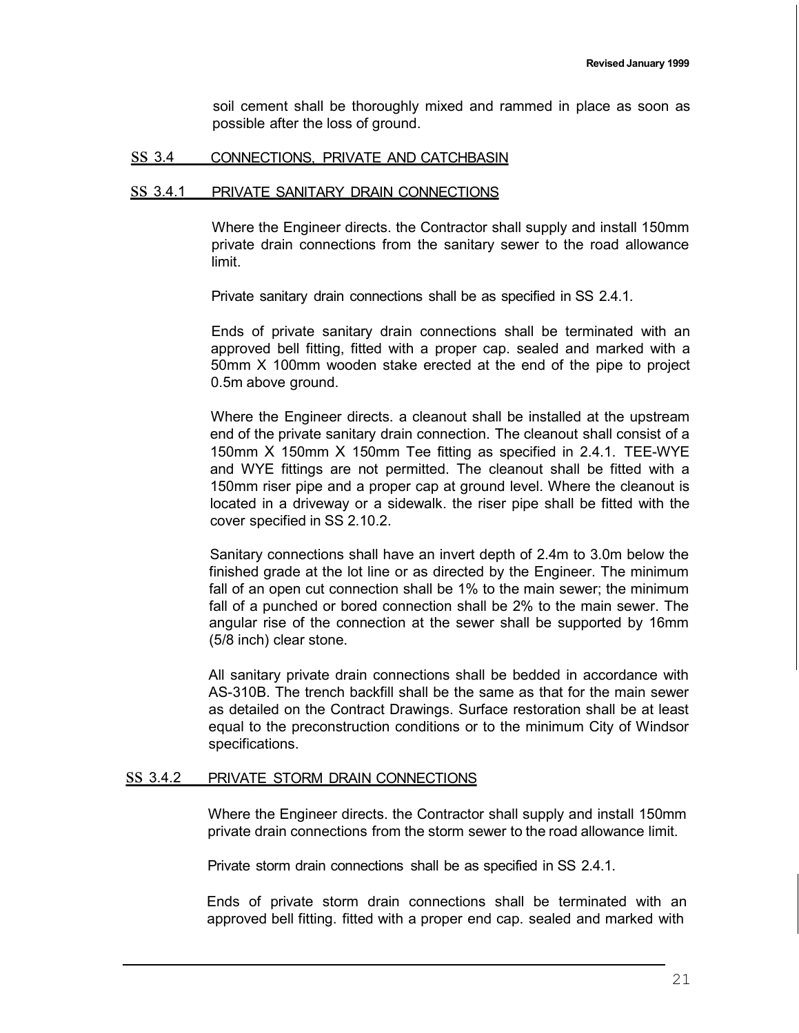soil cement shall be thoroughly mixed and rammed in place as soon as possible after the loss of ground.

### ss 3.4 CONNECTIONS, PRIVATE AND CATCHBASIN

#### ss 3.4.1 PRIVATE SANITARY DRAIN CONNECTIONS

Where the Engineer directs. the Contractor shall supply and install 150mm private drain connections from the sanitary sewer to the road allowance limit.

Private sanitary drain connections shall be as specified in SS 2.4.1.

Ends of private sanitary drain connections shall be terminated with an approved bell fitting, fitted with a proper cap. sealed and marked with a 50mm X 100mm wooden stake erected at the end of the pipe to project 0.5m above ground.

Where the Engineer directs. a cleanout shall be installed at the upstream end of the private sanitary drain connection. The cleanout shall consist of a 150mm X 150mm X 150mm Tee fitting as specified in 2.4.1. TEE-WYE and WYE fittings are not permitted. The cleanout shall be fitted with a 150mm riser pipe and a proper cap at ground level. Where the cleanout is located in a driveway or a sidewalk. the riser pipe shall be fitted with the cover specified in SS 2.10.2.

Sanitary connections shall have an invert depth of 2.4m to 3.0m below the finished grade at the lot line or as directed by the Engineer. The minimum fall of an open cut connection shall be 1% to the main sewer; the minimum fall of a punched or bored connection shall be 2% to the main sewer. The angular rise of the connection at the sewer shall be supported by 16mm (5/8 inch) clear stone.

All sanitary private drain connections shall be bedded in accordance with AS-310B. The trench backfill shall be the same as that for the main sewer as detailed on the Contract Drawings. Surface restoration shall be at least equal to the preconstruction conditions or to the minimum City of Windsor specifications.

## ss 3.4.2 PRIVATE STORM DRAIN CONNECTIONS

Where the Engineer directs. the Contractor shall supply and install 150mm private drain connections from the storm sewer to the road allowance limit.

Private storm drain connections shall be as specified in SS 2.4.1.

Ends of private storm drain connections shall be terminated with an approved bell fitting. fitted with a proper end cap. sealed and marked with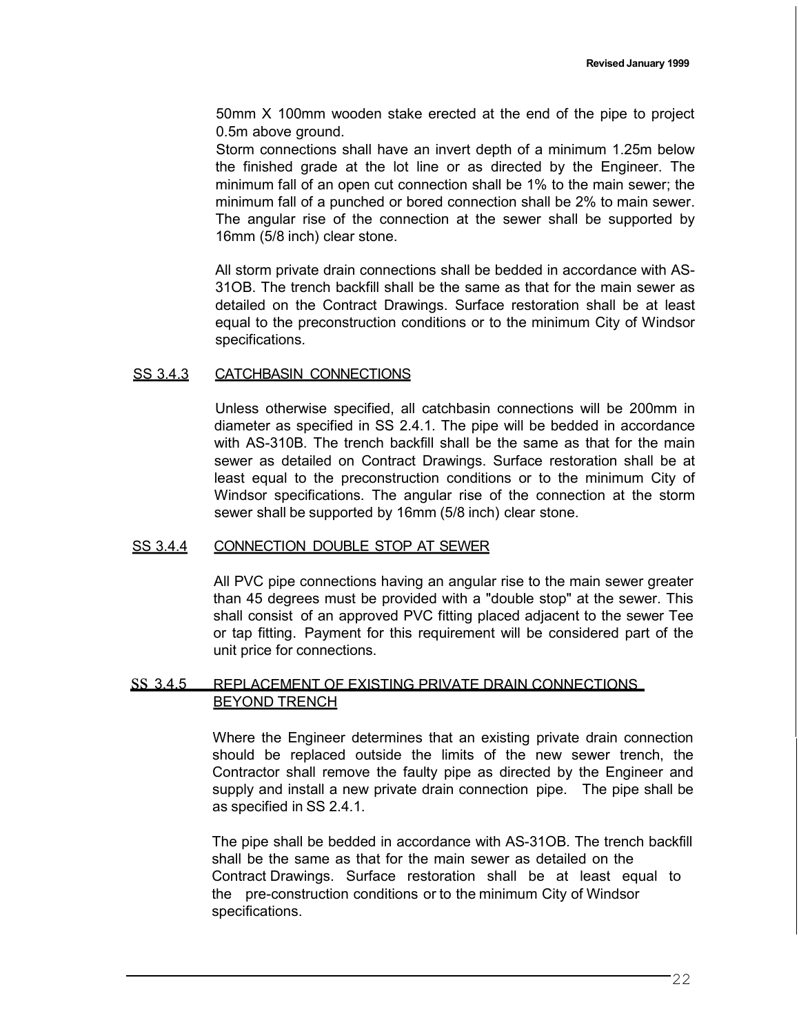50mm X 100mm wooden stake erected at the end of the pipe to project 0.5m above ground.

Storm connections shall have an invert depth of a minimum 1.25m below the finished grade at the lot line or as directed by the Engineer. The minimum fall of an open cut connection shall be 1% to the main sewer; the minimum fall of a punched or bored connection shall be 2% to main sewer. The angular rise of the connection at the sewer shall be supported by 16mm (5/8 inch) clear stone.

All storm private drain connections shall be bedded in accordance with AS-31OB. The trench backfill shall be the same as that for the main sewer as detailed on the Contract Drawings. Surface restoration shall be at least equal to the preconstruction conditions or to the minimum City of Windsor specifications.

### SS 3.4.3 CATCHBASIN CONNECTIONS

Unless otherwise specified, all catchbasin connections will be 200mm in diameter as specified in SS 2.4.1. The pipe will be bedded in accordance with AS-310B. The trench backfill shall be the same as that for the main sewer as detailed on Contract Drawings. Surface restoration shall be at least equal to the preconstruction conditions or to the minimum City of Windsor specifications. The angular rise of the connection at the storm sewer shall be supported by 16mm (5/8 inch) clear stone.

### SS 3.4.4 CONNECTION DOUBLE STOP AT SEWER

All PVC pipe connections having an angular rise to the main sewer greater than 45 degrees must be provided with a "double stop" at the sewer. This shall consist of an approved PVC fitting placed adjacent to the sewer Tee or tap fitting. Payment for this requirement will be considered part of the unit price for connections.

## ss 3.4.5 REPLACEMENT OF EXISTING PRIVATE DRAIN CONNECTIONS BEYOND TRENCH

Where the Engineer determines that an existing private drain connection should be replaced outside the limits of the new sewer trench, the Contractor shall remove the faulty pipe as directed by the Engineer and supply and install a new private drain connection pipe. The pipe shall be as specified in SS 2.4.1.

The pipe shall be bedded in accordance with AS-31OB. The trench backfill shall be the same as that for the main sewer as detailed on the Contract Drawings. Surface restoration shall be at least equal to the pre-construction conditions or to the minimum City of Windsor specifications.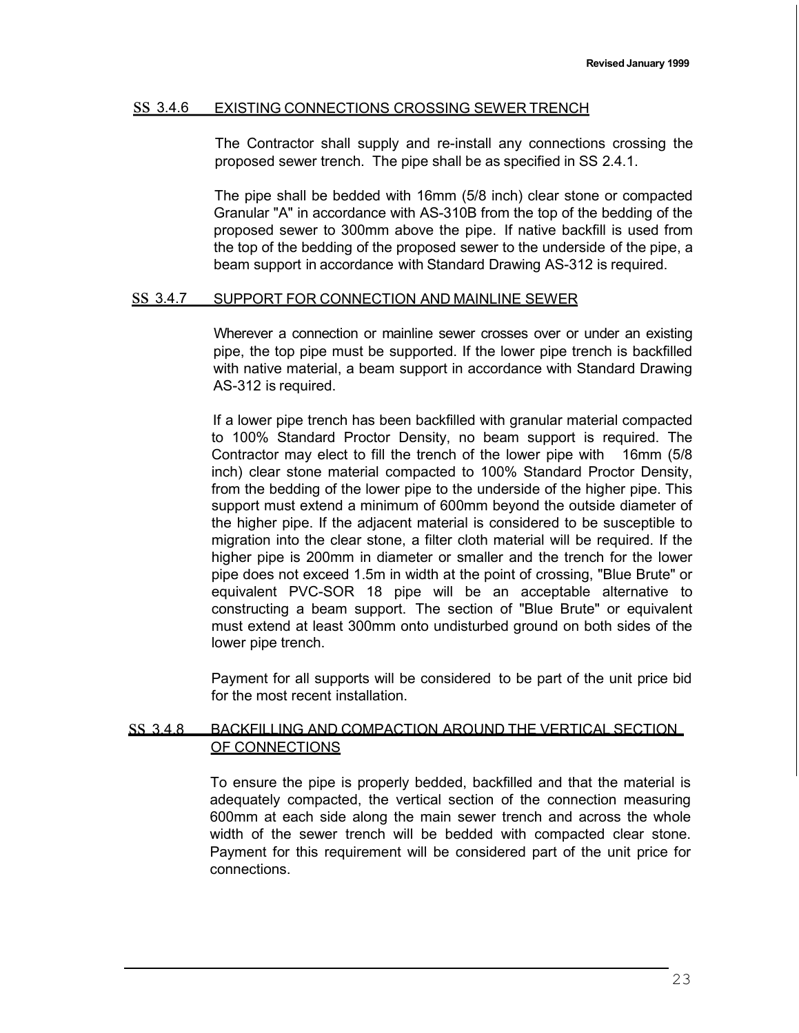### ss 3.4.6 EXISTING CONNECTIONS CROSSING SEWER TRENCH

The Contractor shall supply and re-install any connections crossing the proposed sewer trench. The pipe shall be as specified in SS 2.4.1.

The pipe shall be bedded with 16mm (5/8 inch) clear stone or compacted Granular "A" in accordance with AS-310B from the top of the bedding of the proposed sewer to 300mm above the pipe. If native backfill is used from the top of the bedding of the proposed sewer to the underside of the pipe, a beam support in accordance with Standard Drawing AS-312 is required.

### ss 3.4.7 SUPPORT FOR CONNECTION AND MAINLINE SEWER

Wherever a connection or mainline sewer crosses over or under an existing pipe, the top pipe must be supported. If the lower pipe trench is backfilled with native material, a beam support in accordance with Standard Drawing AS-312 is required.

If a lower pipe trench has been backfilled with granular material compacted to 100% Standard Proctor Density, no beam support is required. The Contractor may elect to fill the trench of the lower pipe with 16mm (5/8 inch) clear stone material compacted to 100% Standard Proctor Density, from the bedding of the lower pipe to the underside of the higher pipe. This support must extend a minimum of 600mm beyond the outside diameter of the higher pipe. If the adjacent material is considered to be susceptible to migration into the clear stone, a filter cloth material will be required. If the higher pipe is 200mm in diameter or smaller and the trench for the lower pipe does not exceed 1.5m in width at the point of crossing, "Blue Brute" or equivalent PVC-SOR 18 pipe will be an acceptable alternative to constructing a beam support. The section of "Blue Brute" or equivalent must extend at least 300mm onto undisturbed ground on both sides of the lower pipe trench.

Payment for all supports will be considered to be part of the unit price bid for the most recent installation.

### ss 3.4.8 BACKFILLING AND COMPACTION AROUND THE VERTICAL SECTION OF CONNECTIONS

To ensure the pipe is properly bedded, backfilled and that the material is adequately compacted, the vertical section of the connection measuring 600mm at each side along the main sewer trench and across the whole width of the sewer trench will be bedded with compacted clear stone. Payment for this requirement will be considered part of the unit price for connections.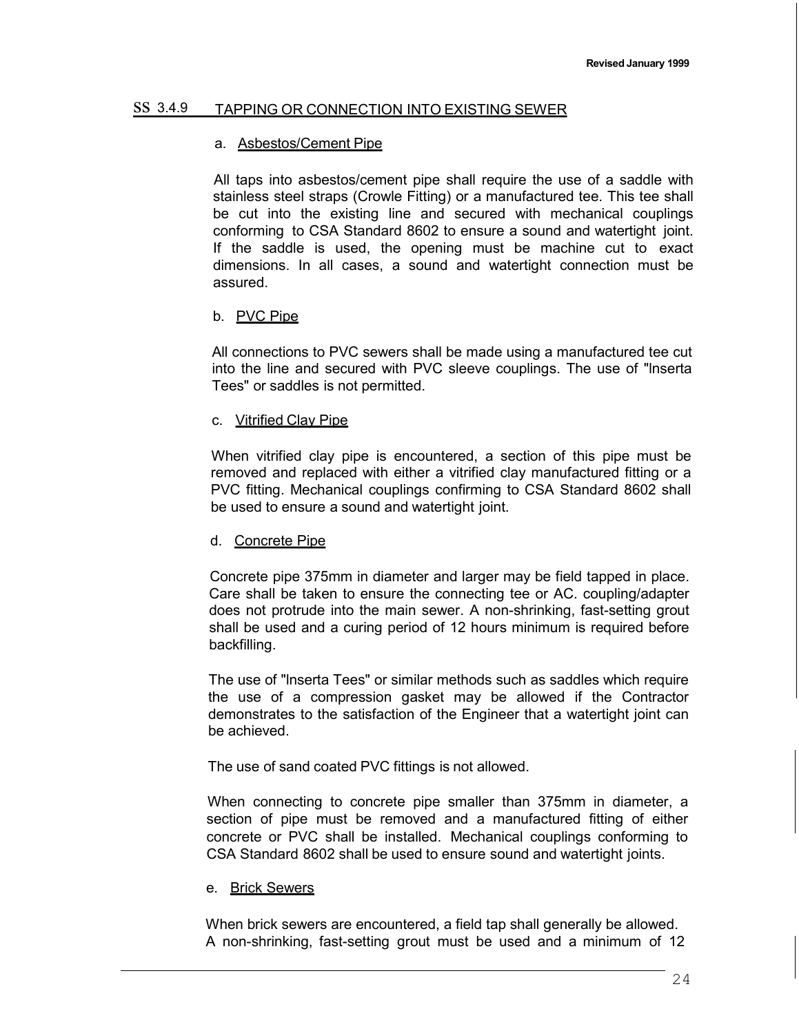### ss 3.4.9 TAPPING OR CONNECTION INTO EXISTING SEWER

### a. Asbestos/Cement Pipe

All taps into asbestos/cement pipe shall require the use of a saddle with stainless steel straps (Crowle Fitting) or a manufactured tee. This tee shall be cut into the existing line and secured with mechanical couplings conforming to CSA Standard 8602 to ensure a sound and watertight joint. If the saddle is used, the opening must be machine cut to exact dimensions. In all cases, a sound and watertight connection must be assured.

### b. PVC Pipe

All connections to PVC sewers shall be made using a manufactured tee cut into the line and secured with PVC sleeve couplings. The use of "lnserta Tees" or saddles is not permitted.

### c. Vitrified Clay Pipe

When vitrified clay pipe is encountered, a section of this pipe must be removed and replaced with either a vitrified clay manufactured fitting or a PVC fitting. Mechanical couplings confirming to CSA Standard 8602 shall be used to ensure a sound and watertight joint.

#### d. Concrete Pipe

Concrete pipe 375mm in diameter and larger may be field tapped in place. Care shall be taken to ensure the connecting tee or AC. coupling/adapter does not protrude into the main sewer. A non-shrinking, fast-setting grout shall be used and a curing period of 12 hours minimum is required before backfilling.

The use of "lnserta Tees" or similar methods such as saddles which require the use of a compression gasket may be allowed if the Contractor demonstrates to the satisfaction of the Engineer that a watertight joint can be achieved.

The use of sand coated PVC fittings is not allowed.

When connecting to concrete pipe smaller than 375mm in diameter, a section of pipe must be removed and a manufactured fitting of either concrete or PVC shall be installed. Mechanical couplings conforming to CSA Standard 8602 shall be used to ensure sound and watertight joints.

### e. Brick Sewers

When brick sewers are encountered, a field tap shall generally be allowed. A non-shrinking, fast-setting grout must be used and a minimum of 12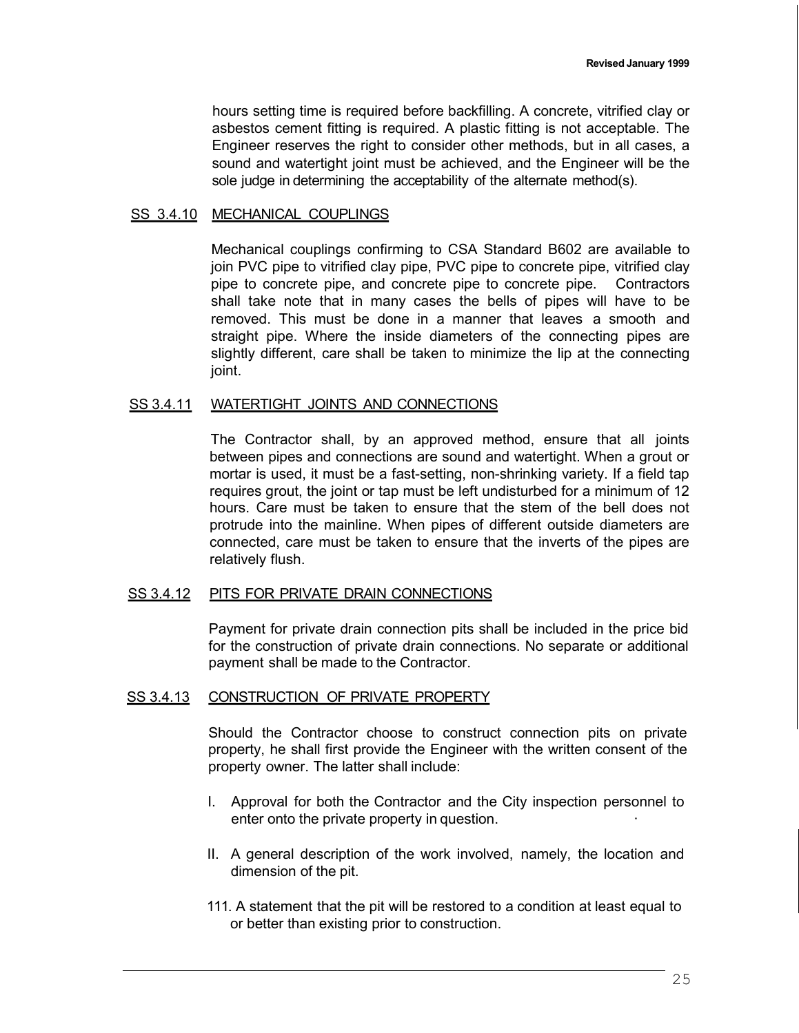hours setting time is required before backfilling. A concrete, vitrified clay or asbestos cement fitting is required. A plastic fitting is not acceptable. The Engineer reserves the right to consider other methods, but in all cases, a sound and watertight joint must be achieved, and the Engineer will be the sole judge in determining the acceptability of the alternate method(s).

### SS 3.4.10 MECHANICAL COUPLINGS

Mechanical couplings confirming to CSA Standard B602 are available to join PVC pipe to vitrified clay pipe, PVC pipe to concrete pipe, vitrified clay pipe to concrete pipe, and concrete pipe to concrete pipe. Contractors shall take note that in many cases the bells of pipes will have to be removed. This must be done in a manner that leaves a smooth and straight pipe. Where the inside diameters of the connecting pipes are slightly different, care shall be taken to minimize the lip at the connecting joint.

#### SS 3.4.11 WATERTIGHT JOINTS AND CONNECTIONS

The Contractor shall, by an approved method, ensure that all joints between pipes and connections are sound and watertight. When a grout or mortar is used, it must be a fast-setting, non-shrinking variety. If a field tap requires grout, the joint or tap must be left undisturbed for a minimum of 12 hours. Care must be taken to ensure that the stem of the bell does not protrude into the mainline. When pipes of different outside diameters are connected, care must be taken to ensure that the inverts of the pipes are relatively flush.

#### SS 3.4.12 PITS FOR PRIVATE DRAIN CONNECTIONS

Payment for private drain connection pits shall be included in the price bid for the construction of private drain connections. No separate or additional payment shall be made to the Contractor.

#### SS 3.4.13 CONSTRUCTION OF PRIVATE PROPERTY

Should the Contractor choose to construct connection pits on private property, he shall first provide the Engineer with the written consent of the property owner. The latter shall include:

- I. Approval for both the Contractor and the City inspection personnel to enter onto the private property in question.
- II. A general description of the work involved, namely, the location and dimension of the pit.
- 111. A statement that the pit will be restored to a condition at least equal to or better than existing prior to construction.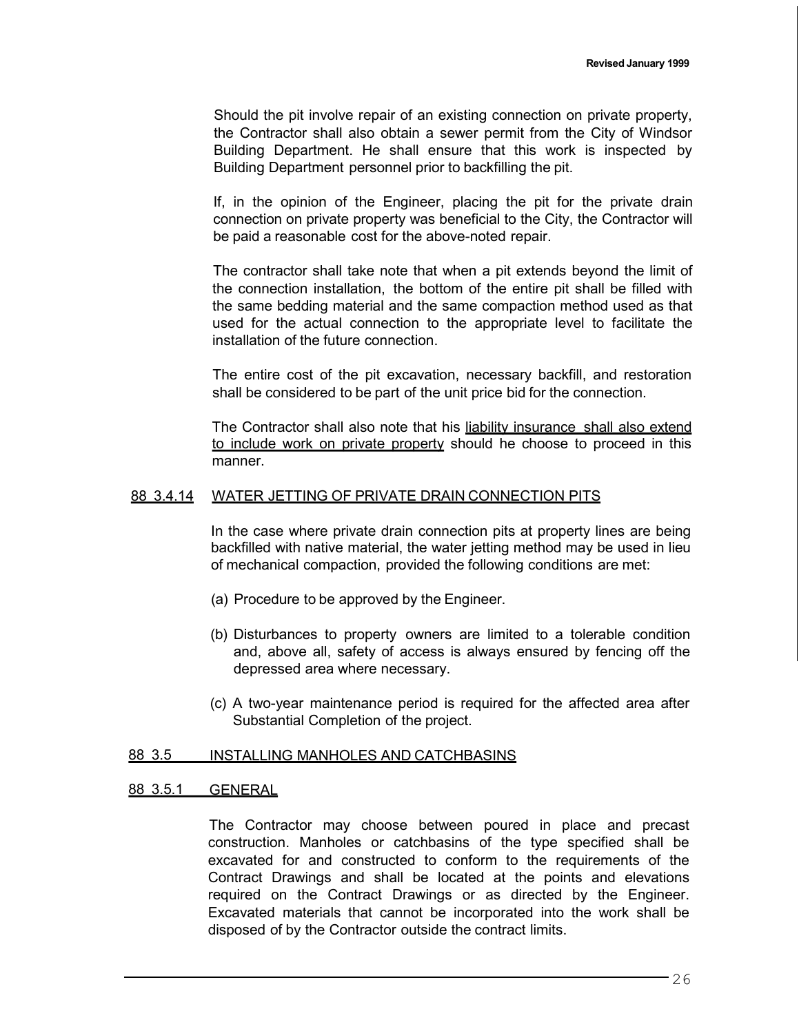Should the pit involve repair of an existing connection on private property, the Contractor shall also obtain a sewer permit from the City of Windsor Building Department. He shall ensure that this work is inspected by Building Department personnel prior to backfilling the pit.

If, in the opinion of the Engineer, placing the pit for the private drain connection on private property was beneficial to the City, the Contractor will be paid a reasonable cost for the above-noted repair.

The contractor shall take note that when a pit extends beyond the limit of the connection installation, the bottom of the entire pit shall be filled with the same bedding material and the same compaction method used as that used for the actual connection to the appropriate level to facilitate the installation of the future connection.

The entire cost of the pit excavation, necessary backfill, and restoration shall be considered to be part of the unit price bid for the connection.

The Contractor shall also note that his liability insurance shall also extend to include work on private property should he choose to proceed in this manner.

#### 88 3.4.14 WATER JETTING OF PRIVATE DRAIN CONNECTION PITS

In the case where private drain connection pits at property lines are being backfilled with native material, the water jetting method may be used in lieu of mechanical compaction, provided the following conditions are met:

- (a) Procedure to be approved by the Engineer.
- (b) Disturbances to property owners are limited to a tolerable condition and, above all, safety of access is always ensured by fencing off the depressed area where necessary.
- (c) A two-year maintenance period is required for the affected area after Substantial Completion of the project.

#### 88 3.5 INSTALLING MANHOLES AND CATCHBASINS

### 88 3.5.1 GENERAL

The Contractor may choose between poured in place and precast construction. Manholes or catchbasins of the type specified shall be excavated for and constructed to conform to the requirements of the Contract Drawings and shall be located at the points and elevations required on the Contract Drawings or as directed by the Engineer. Excavated materials that cannot be incorporated into the work shall be disposed of by the Contractor outside the contract limits.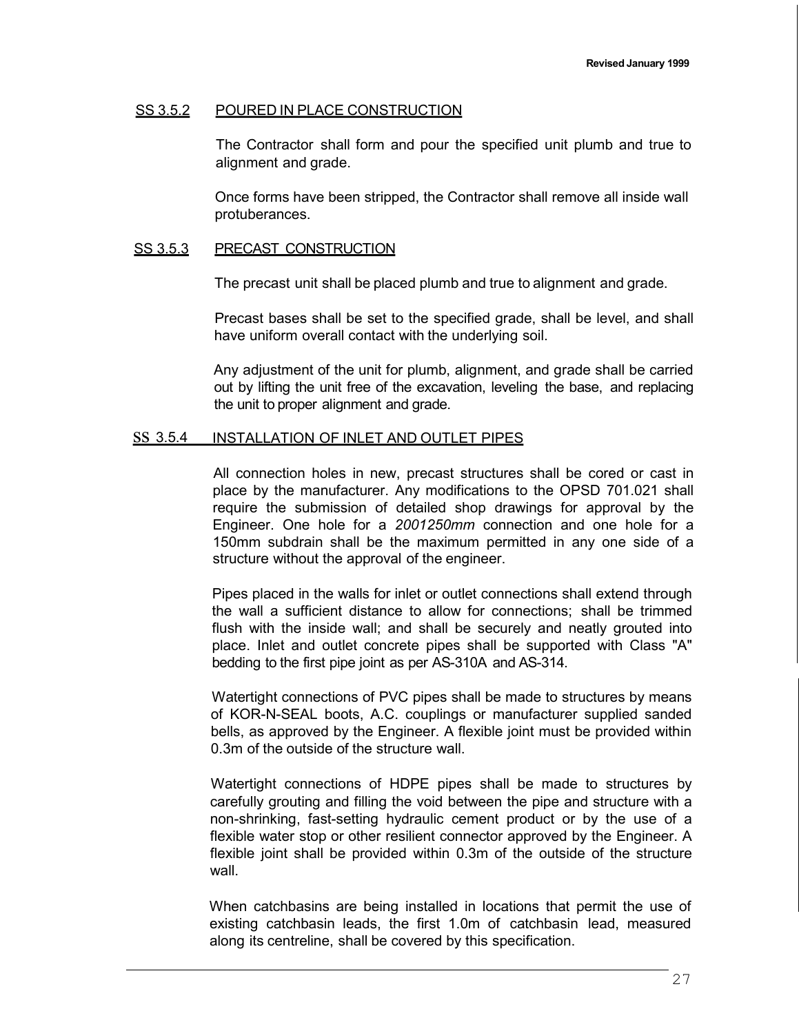### SS 3.5.2 POURED IN PLACE CONSTRUCTION

The Contractor shall form and pour the specified unit plumb and true to alignment and grade.

Once forms have been stripped, the Contractor shall remove all inside wall protuberances.

#### SS 3.5.3 PRECAST CONSTRUCTION

The precast unit shall be placed plumb and true to alignment and grade.

Precast bases shall be set to the specified grade, shall be level, and shall have uniform overall contact with the underlying soil.

Any adjustment of the unit for plumb, alignment, and grade shall be carried out by lifting the unit free of the excavation, leveling the base, and replacing the unit to proper alignment and grade.

#### ss 3.5.4 INSTALLATION OF INLET AND OUTLET PIPES

All connection holes in new, precast structures shall be cored or cast in place by the manufacturer. Any modifications to the OPSD 701.021 shall require the submission of detailed shop drawings for approval by the Engineer. One hole for a *2001250mm* connection and one hole for a 150mm subdrain shall be the maximum permitted in any one side of a structure without the approval of the engineer.

Pipes placed in the walls for inlet or outlet connections shall extend through the wall a sufficient distance to allow for connections; shall be trimmed flush with the inside wall; and shall be securely and neatly grouted into place. Inlet and outlet concrete pipes shall be supported with Class "A" bedding to the first pipe joint as per AS-310A and AS-314.

Watertight connections of PVC pipes shall be made to structures by means of KOR-N-SEAL boots, A.C. couplings or manufacturer supplied sanded bells, as approved by the Engineer. A flexible joint must be provided within 0.3m of the outside of the structure wall.

Watertight connections of HDPE pipes shall be made to structures by carefully grouting and filling the void between the pipe and structure with a non-shrinking, fast-setting hydraulic cement product or by the use of a flexible water stop or other resilient connector approved by the Engineer. A flexible joint shall be provided within 0.3m of the outside of the structure wall.

When catchbasins are being installed in locations that permit the use of existing catchbasin leads, the first 1.0m of catchbasin lead, measured along its centreline, shall be covered by this specification.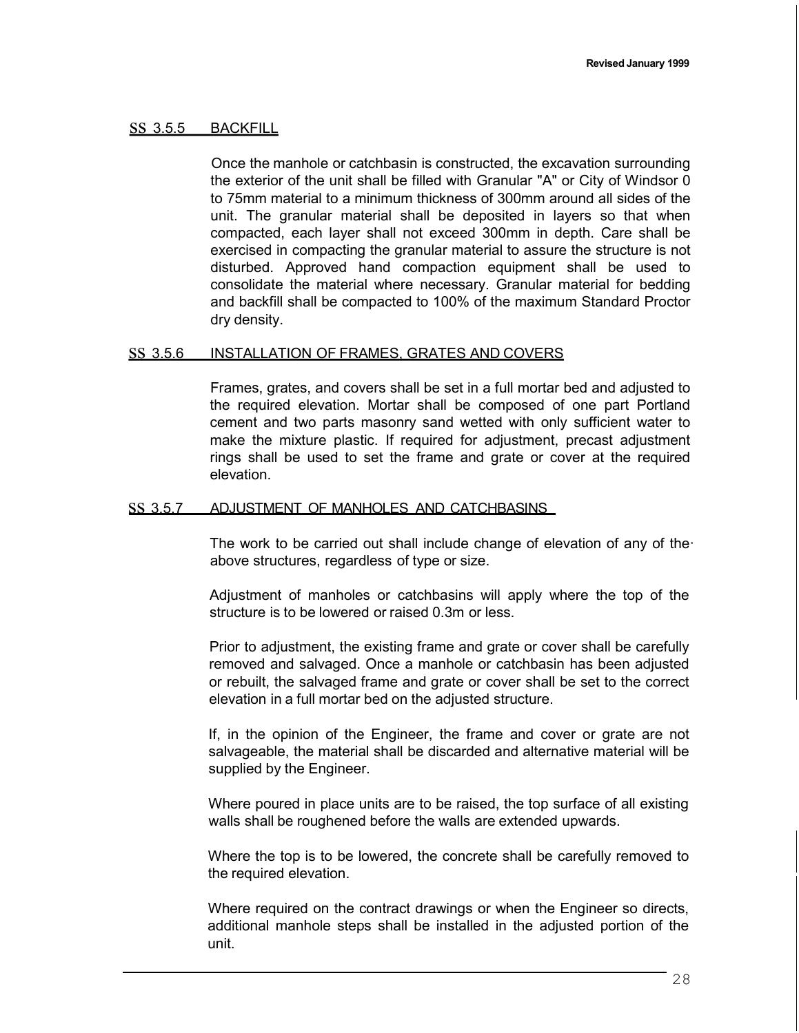### ss 3.5.5 BACKFILL

Once the manhole or catchbasin is constructed, the excavation surrounding the exterior of the unit shall be filled with Granular "A" or City of Windsor 0 to 75mm material to a minimum thickness of 300mm around all sides of the unit. The granular material shall be deposited in layers so that when compacted, each layer shall not exceed 300mm in depth. Care shall be exercised in compacting the granular material to assure the structure is not disturbed. Approved hand compaction equipment shall be used to consolidate the material where necessary. Granular material for bedding and backfill shall be compacted to 100% of the maximum Standard Proctor dry density.

#### ss 3.5.6 INSTALLATION OF FRAMES, GRATES AND COVERS

Frames, grates, and covers shall be set in a full mortar bed and adjusted to the required elevation. Mortar shall be composed of one part Portland cement and two parts masonry sand wetted with only sufficient water to make the mixture plastic. If required for adjustment, precast adjustment rings shall be used to set the frame and grate or cover at the required elevation.

#### ss 3.5.7 ADJUSTMENT OF MANHOLES AND CATCHBASINS

The work to be carried out shall include change of elevation of any of the· above structures, regardless of type or size.

Adjustment of manholes or catchbasins will apply where the top of the structure is to be lowered or raised 0.3m or less.

Prior to adjustment, the existing frame and grate or cover shall be carefully removed and salvaged. Once a manhole or catchbasin has been adjusted or rebuilt, the salvaged frame and grate or cover shall be set to the correct elevation in a full mortar bed on the adjusted structure.

If, in the opinion of the Engineer, the frame and cover or grate are not salvageable, the material shall be discarded and alternative material will be supplied by the Engineer.

Where poured in place units are to be raised, the top surface of all existing walls shall be roughened before the walls are extended upwards.

Where the top is to be lowered, the concrete shall be carefully removed to the required elevation.

Where required on the contract drawings or when the Engineer so directs, additional manhole steps shall be installed in the adjusted portion of the unit.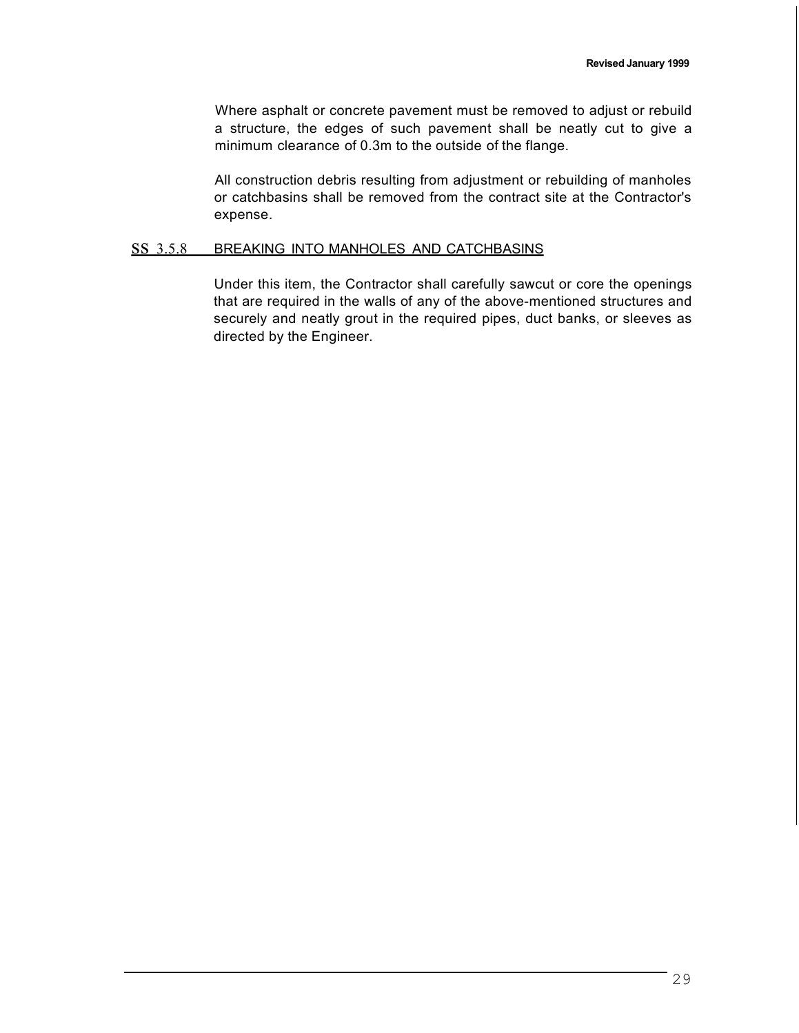Where asphalt or concrete pavement must be removed to adjust or rebuild a structure, the edges of such pavement shall be neatly cut to give a minimum clearance of 0.3m to the outside of the flange.

All construction debris resulting from adjustment or rebuilding of manholes or catchbasins shall be removed from the contract site at the Contractor's expense.

### ss 3.5.8 BREAKING INTO MANHOLES AND CATCHBASINS

Under this item, the Contractor shall carefully sawcut or core the openings that are required in the walls of any of the above-mentioned structures and securely and neatly grout in the required pipes, duct banks, or sleeves as directed by the Engineer.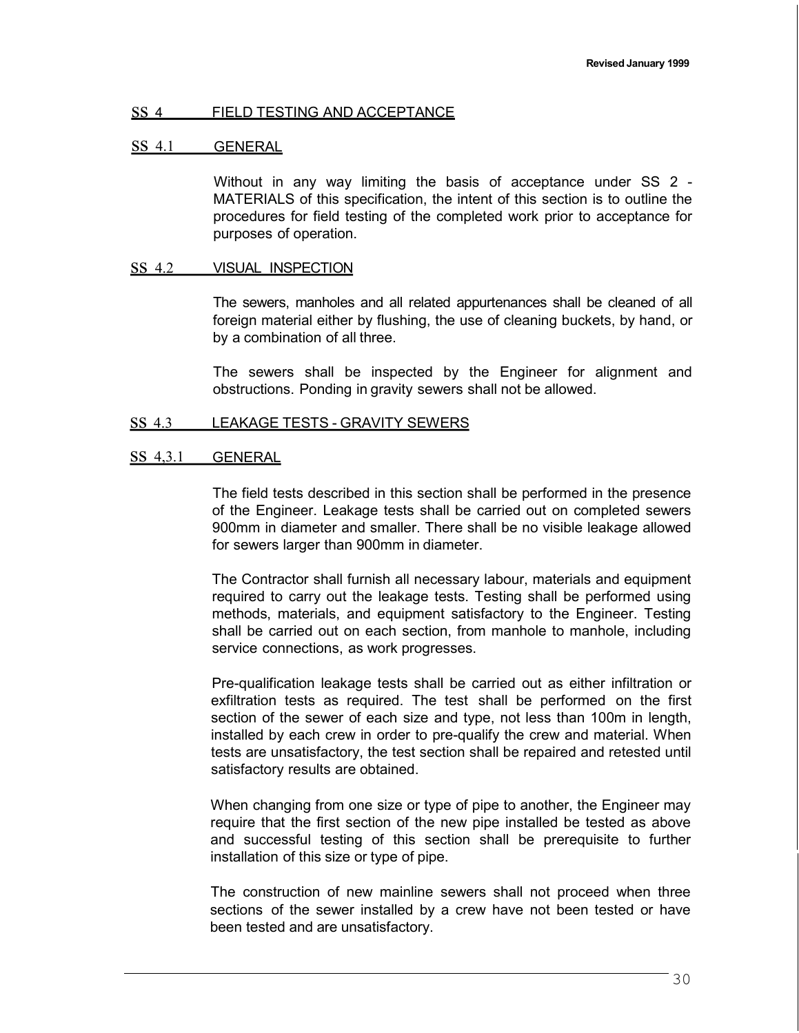### ss <sup>4</sup> FIELD TESTING AND ACCEPTANCE

### ss 4.1 GENERAL

Without in any way limiting the basis of acceptance under SS 2 - MATERIALS of this specification, the intent of this section is to outline the procedures for field testing of the completed work prior to acceptance for purposes of operation.

#### SS 4.2 VISUAL INSPECTION

The sewers, manholes and all related appurtenances shall be cleaned of all foreign material either by flushing, the use of cleaning buckets, by hand, or by a combination of all three.

The sewers shall be inspected by the Engineer for alignment and obstructions. Ponding in gravity sewers shall not be allowed.

### ss 4.3 LEAKAGE TESTS - GRAVITY SEWERS

#### ss 4,3.1 GENERAL

The field tests described in this section shall be performed in the presence of the Engineer. Leakage tests shall be carried out on completed sewers 900mm in diameter and smaller. There shall be no visible leakage allowed for sewers larger than 900mm in diameter.

The Contractor shall furnish all necessary labour, materials and equipment required to carry out the leakage tests. Testing shall be performed using methods, materials, and equipment satisfactory to the Engineer. Testing shall be carried out on each section, from manhole to manhole, including service connections, as work progresses.

Pre-qualification leakage tests shall be carried out as either infiltration or exfiltration tests as required. The test shall be performed on the first section of the sewer of each size and type, not less than 100m in length, installed by each crew in order to pre-qualify the crew and material. When tests are unsatisfactory, the test section shall be repaired and retested until satisfactory results are obtained.

When changing from one size or type of pipe to another, the Engineer may require that the first section of the new pipe installed be tested as above and successful testing of this section shall be prerequisite to further installation of this size or type of pipe.

The construction of new mainline sewers shall not proceed when three sections of the sewer installed by a crew have not been tested or have been tested and are unsatisfactory.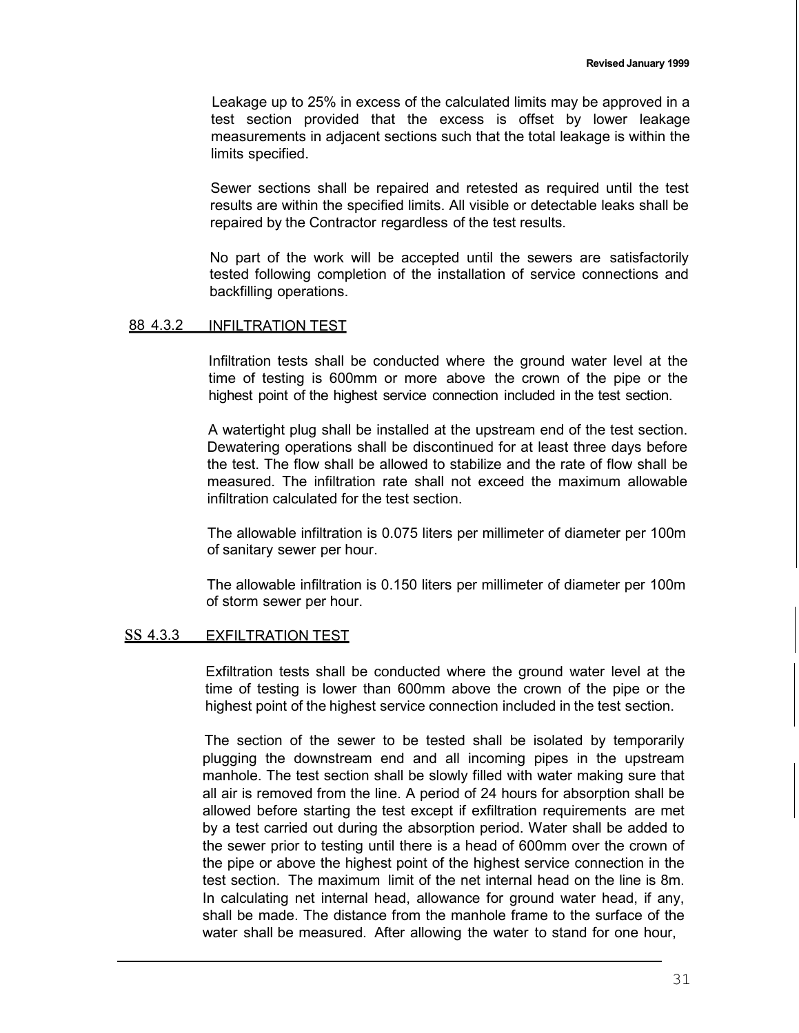Leakage up to 25% in excess of the calculated limits may be approved in a test section provided that the excess is offset by lower leakage measurements in adjacent sections such that the total leakage is within the limits specified.

Sewer sections shall be repaired and retested as required until the test results are within the specified limits. All visible or detectable leaks shall be repaired by the Contractor regardless of the test results.

No part of the work will be accepted until the sewers are satisfactorily tested following completion of the installation of service connections and backfilling operations.

### 88 4.3.2 INFILTRATION TEST

Infiltration tests shall be conducted where the ground water level at the time of testing is 600mm or more above the crown of the pipe or the highest point of the highest service connection included in the test section.

A watertight plug shall be installed at the upstream end of the test section. Dewatering operations shall be discontinued for at least three days before the test. The flow shall be allowed to stabilize and the rate of flow shall be measured. The infiltration rate shall not exceed the maximum allowable infiltration calculated for the test section.

The allowable infiltration is 0.075 liters per millimeter of diameter per 100m of sanitary sewer per hour.

The allowable infiltration is 0.150 liters per millimeter of diameter per 100m of storm sewer per hour.

### ss 4.3.3 EXFILTRATION TEST

Exfiltration tests shall be conducted where the ground water level at the time of testing is lower than 600mm above the crown of the pipe or the highest point of the highest service connection included in the test section.

The section of the sewer to be tested shall be isolated by temporarily plugging the downstream end and all incoming pipes in the upstream manhole. The test section shall be slowly filled with water making sure that all air is removed from the line. A period of 24 hours for absorption shall be allowed before starting the test except if exfiltration requirements are met by a test carried out during the absorption period. Water shall be added to the sewer prior to testing until there is a head of 600mm over the crown of the pipe or above the highest point of the highest service connection in the test section. The maximum limit of the net internal head on the line is 8m. In calculating net internal head, allowance for ground water head, if any, shall be made. The distance from the manhole frame to the surface of the water shall be measured. After allowing the water to stand for one hour,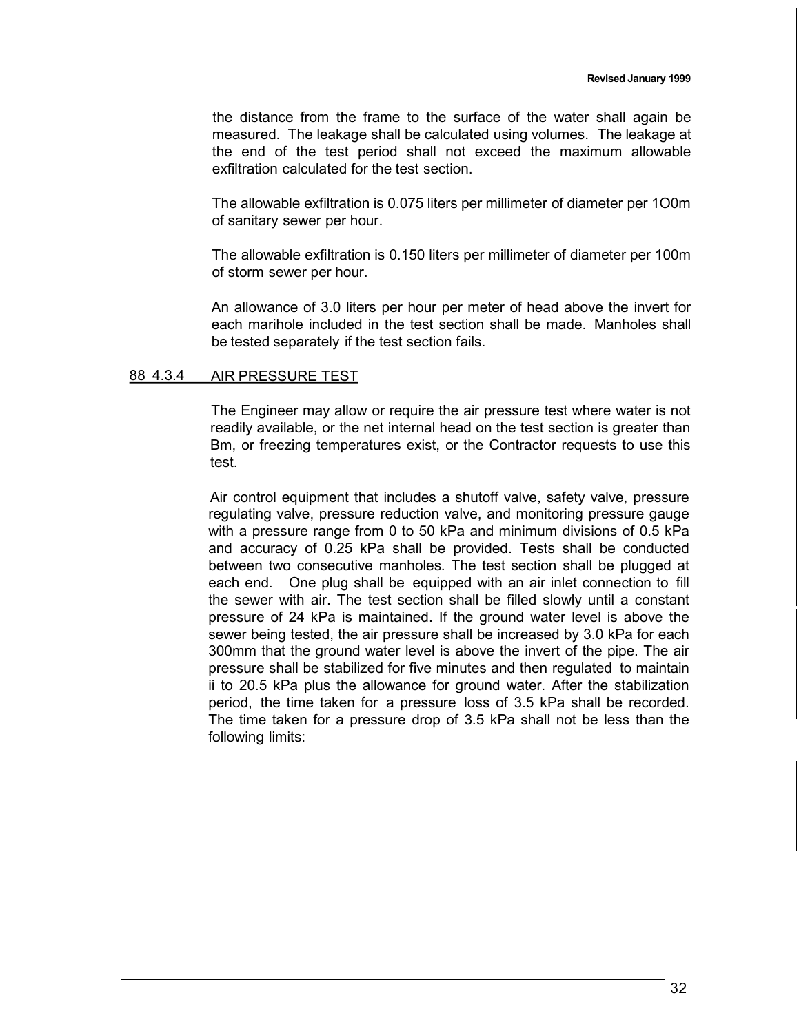the distance from the frame to the surface of the water shall again be measured. The leakage shall be calculated using volumes. The leakage at the end of the test period shall not exceed the maximum allowable exfiltration calculated for the test section.

The allowable exfiltration is 0.075 liters per millimeter of diameter per 1O0m of sanitary sewer per hour.

The allowable exfiltration is 0.150 liters per millimeter of diameter per 100m of storm sewer per hour.

An allowance of 3.0 liters per hour per meter of head above the invert for each marihole included in the test section shall be made. Manholes shall be tested separately if the test section fails.

#### 88 4.3.4 AIR PRESSURE TEST

The Engineer may allow or require the air pressure test where water is not readily available, or the net internal head on the test section is greater than Bm, or freezing temperatures exist, or the Contractor requests to use this test.

Air control equipment that includes a shutoff valve, safety valve, pressure regulating valve, pressure reduction valve, and monitoring pressure gauge with a pressure range from 0 to 50 kPa and minimum divisions of 0.5 kPa and accuracy of 0.25 kPa shall be provided. Tests shall be conducted between two consecutive manholes. The test section shall be plugged at each end. One plug shall be equipped with an air inlet connection to fill the sewer with air. The test section shall be filled slowly until a constant pressure of 24 kPa is maintained. If the ground water level is above the sewer being tested, the air pressure shall be increased by 3.0 kPa for each 300mm that the ground water level is above the invert of the pipe. The air pressure shall be stabilized for five minutes and then regulated to maintain ii to 20.5 kPa plus the allowance for ground water. After the stabilization period, the time taken for a pressure loss of 3.5 kPa shall be recorded. The time taken for a pressure drop of 3.5 kPa shall not be less than the following limits: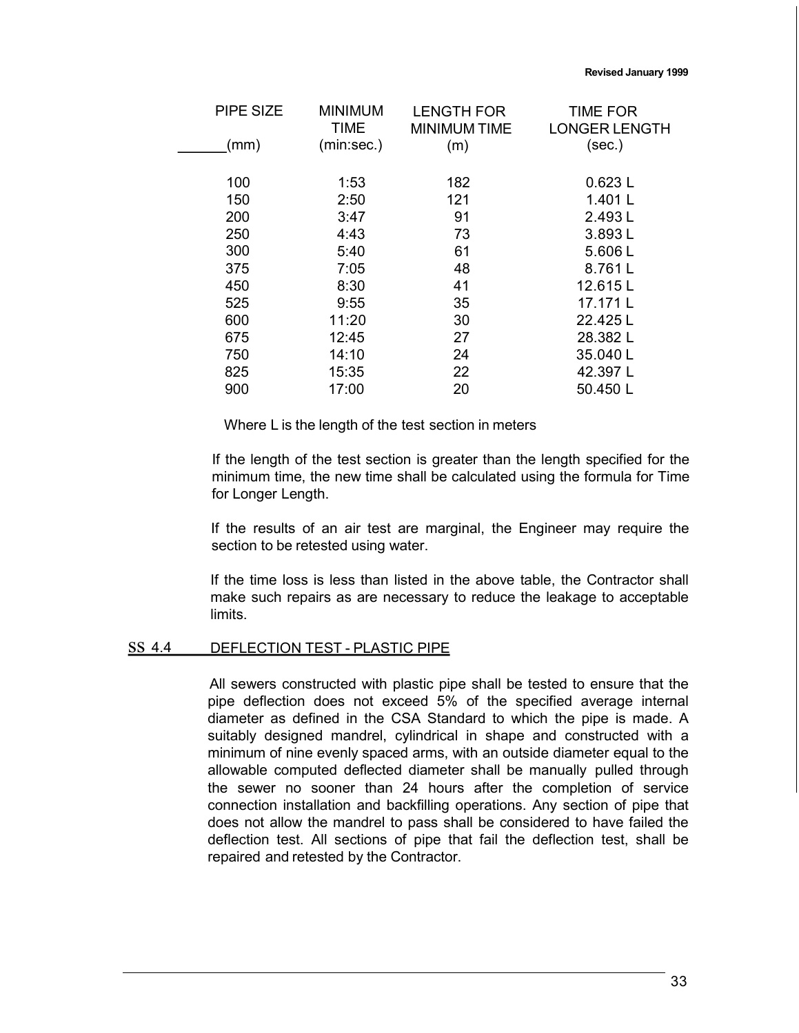| PIPE SIZE | <b>MINIMUM</b><br><b>TIME</b> | <b>LENGTH FOR</b><br><b>MINIMUM TIME</b> | <b>TIME FOR</b><br><b>LONGER LENGTH</b> |
|-----------|-------------------------------|------------------------------------------|-----------------------------------------|
| (mm)      | (min:sec.)                    | (m)                                      | (sec.)                                  |
|           |                               |                                          |                                         |
| 100       | 1:53                          | 182                                      | 0.623L                                  |
| 150       | 2:50                          | 121                                      | 1.401L                                  |
| 200       | 3:47                          | 91                                       | 2.493L                                  |
| 250       | 4:43                          | 73                                       | 3.893L                                  |
| 300       | 5:40                          | 61                                       | 5.606L                                  |
| 375       | 7:05                          | 48                                       | 8.761L                                  |
| 450       | 8:30                          | 41                                       | 12.615L                                 |
| 525       | 9:55                          | 35                                       | 17.171 L                                |
| 600       | 11:20                         | 30                                       | 22.425 L                                |
| 675       | 12:45                         | 27                                       | 28.382L                                 |
| 750       | 14:10                         | 24                                       | 35.040L                                 |
| 825       | 15:35                         | 22                                       | 42.397L                                 |
| 900       | 17:00                         | 20                                       | 50.450 L                                |

Where L is the length of the test section in meters

If the length of the test section is greater than the length specified for the minimum time, the new time shall be calculated using the formula for Time for Longer Length.

If the results of an air test are marginal, the Engineer may require the section to be retested using water.

If the time loss is less than listed in the above table, the Contractor shall make such repairs as are necessary to reduce the leakage to acceptable limits.

#### ss 4.4 DEFLECTION TEST - PLASTIC PIPE

All sewers constructed with plastic pipe shall be tested to ensure that the pipe deflection does not exceed 5% of the specified average internal diameter as defined in the CSA Standard to which the pipe is made. A suitably designed mandrel, cylindrical in shape and constructed with a minimum of nine evenly spaced arms, with an outside diameter equal to the allowable computed deflected diameter shall be manually pulled through the sewer no sooner than 24 hours after the completion of service connection installation and backfilling operations. Any section of pipe that does not allow the mandrel to pass shall be considered to have failed the deflection test. All sections of pipe that fail the deflection test, shall be repaired and retested by the Contractor.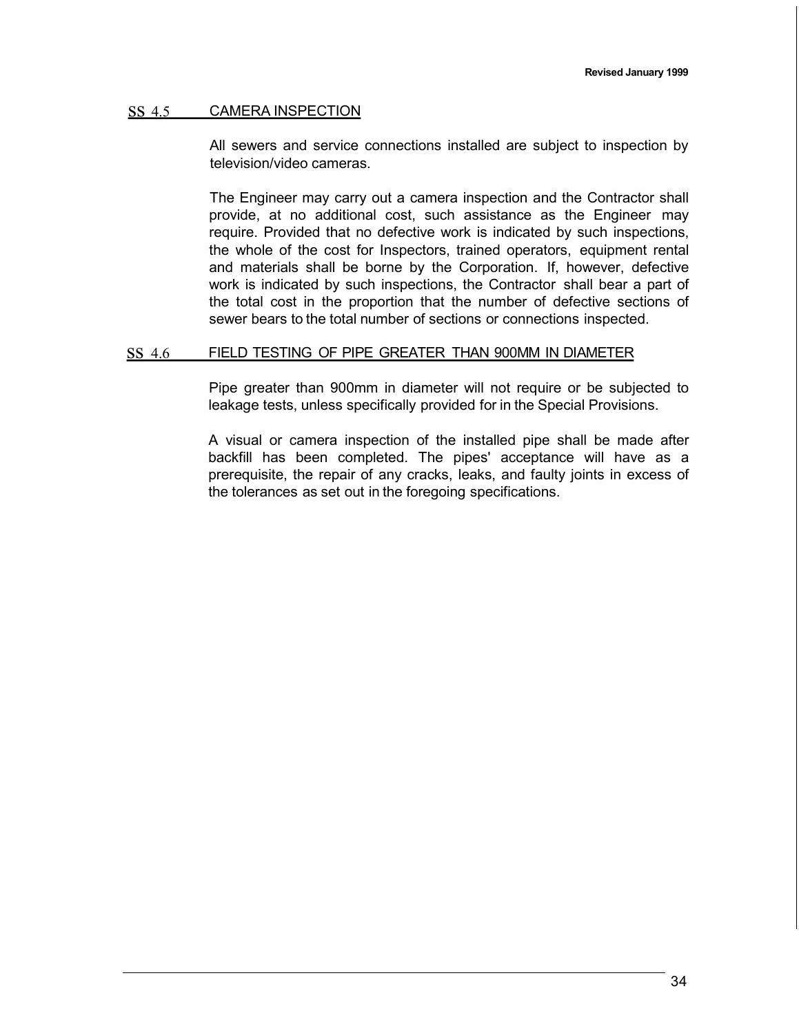### ss 4.5 CAMERA INSPECTION

All sewers and service connections installed are subject to inspection by television/video cameras.

The Engineer may carry out a camera inspection and the Contractor shall provide, at no additional cost, such assistance as the Engineer may require. Provided that no defective work is indicated by such inspections, the whole of the cost for Inspectors, trained operators, equipment rental and materials shall be borne by the Corporation. If, however, defective work is indicated by such inspections, the Contractor shall bear a part of the total cost in the proportion that the number of defective sections of sewer bears to the total number of sections or connections inspected.

### ss 4.6 FIELD TESTING OF PIPE GREATER THAN 900MM IN DIAMETER

Pipe greater than 900mm in diameter will not require or be subjected to leakage tests, unless specifically provided for in the Special Provisions.

A visual or camera inspection of the installed pipe shall be made after backfill has been completed. The pipes' acceptance will have as a prerequisite, the repair of any cracks, leaks, and faulty joints in excess of the tolerances as set out in the foregoing specifications.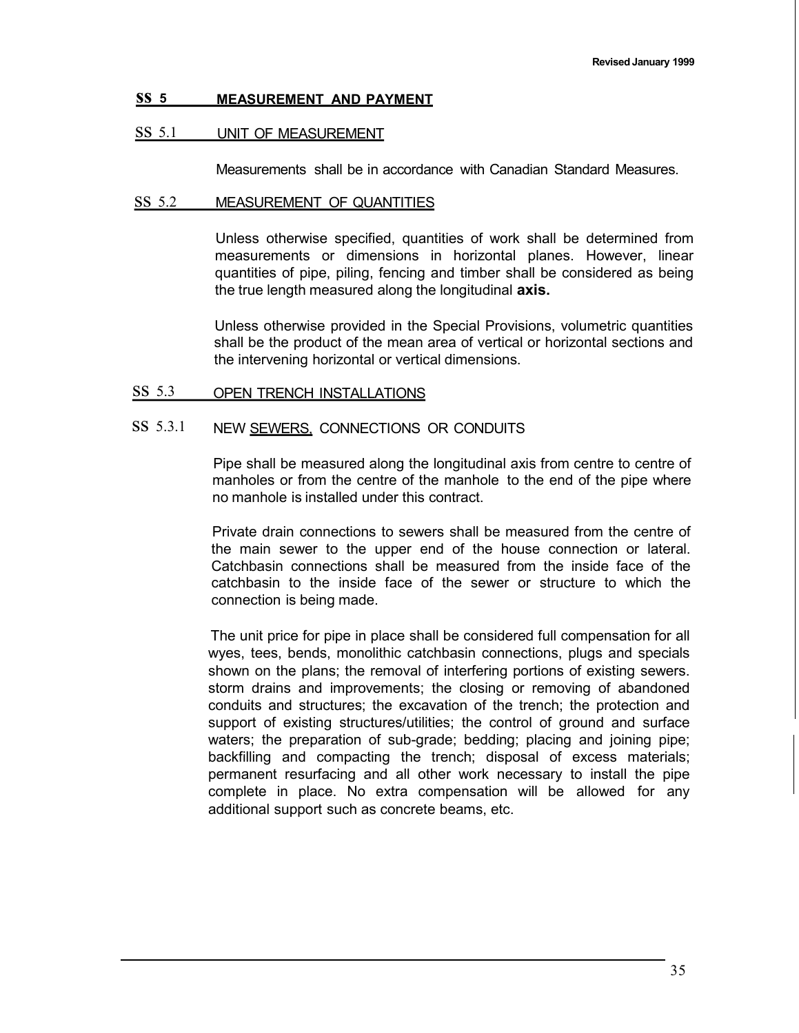### **ss <sup>5</sup> MEASUREMENT AND PAYMENT**

### ss 5.1 UNIT OF MEASUREMENT

Measurements shall be in accordance with Canadian Standard Measures.

## ss 5.2 MEASUREMENT OF QUANTITIES

Unless otherwise specified, quantities of work shall be determined from measurements or dimensions in horizontal planes. However, linear quantities of pipe, piling, fencing and timber shall be considered as being the true length measured along the longitudinal **axis.**

Unless otherwise provided in the Special Provisions, volumetric quantities shall be the product of the mean area of vertical or horizontal sections and the intervening horizontal or vertical dimensions.

## ss 5.3 OPEN TRENCH INSTALLATIONS

# SS 5.3.1 NEW SEWERS, CONNECTIONS OR CONDUITS

Pipe shall be measured along the longitudinal axis from centre to centre of manholes or from the centre of the manhole to the end of the pipe where no manhole is installed under this contract.

Private drain connections to sewers shall be measured from the centre of the main sewer to the upper end of the house connection or lateral. Catchbasin connections shall be measured from the inside face of the catchbasin to the inside face of the sewer or structure to which the connection is being made.

The unit price for pipe in place shall be considered full compensation for all wyes, tees, bends, monolithic catchbasin connections, plugs and specials shown on the plans; the removal of interfering portions of existing sewers. storm drains and improvements; the closing or removing of abandoned conduits and structures; the excavation of the trench; the protection and support of existing structures/utilities; the control of ground and surface waters; the preparation of sub-grade; bedding; placing and joining pipe; backfilling and compacting the trench; disposal of excess materials; permanent resurfacing and all other work necessary to install the pipe complete in place. No extra compensation will be allowed for any additional support such as concrete beams, etc.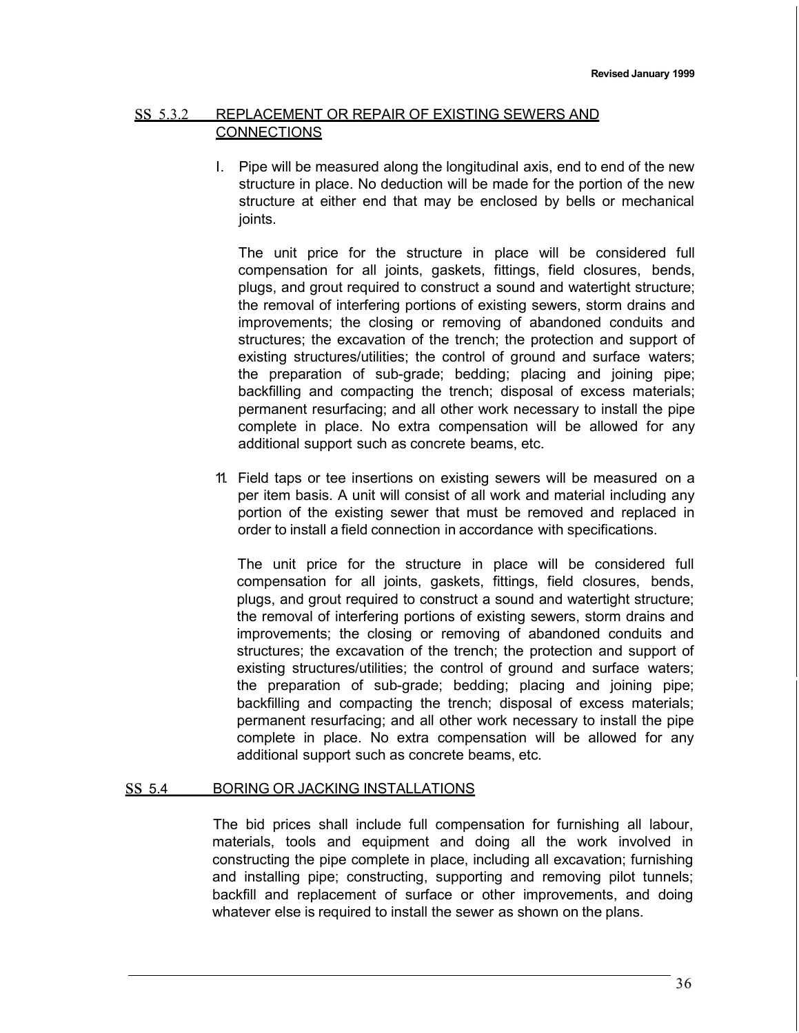## ss 5.3.2 REPLACEMENT OR REPAIR OF EXISTING SEWERS AND **CONNECTIONS**

I. Pipe will be measured along the longitudinal axis, end to end of the new structure in place. No deduction will be made for the portion of the new structure at either end that may be enclosed by bells or mechanical joints.

The unit price for the structure in place will be considered full compensation for all joints, gaskets, fittings, field closures, bends, plugs, and grout required to construct a sound and watertight structure; the removal of interfering portions of existing sewers, storm drains and improvements; the closing or removing of abandoned conduits and structures; the excavation of the trench; the protection and support of existing structures/utilities; the control of ground and surface waters; the preparation of sub-grade; bedding; placing and joining pipe; backfilling and compacting the trench; disposal of excess materials; permanent resurfacing; and all other work necessary to install the pipe complete in place. No extra compensation will be allowed for any additional support such as concrete beams, etc.

11. Field taps or tee insertions on existing sewers will be measured on a per item basis. A unit will consist of all work and material including any portion of the existing sewer that must be removed and replaced in order to install a field connection in accordance with specifications.

The unit price for the structure in place will be considered full compensation for all joints, gaskets, fittings, field closures, bends, plugs, and grout required to construct a sound and watertight structure; the removal of interfering portions of existing sewers, storm drains and improvements; the closing or removing of abandoned conduits and structures; the excavation of the trench; the protection and support of existing structures/utilities; the control of ground and surface waters; the preparation of sub-grade; bedding; placing and joining pipe; backfilling and compacting the trench; disposal of excess materials; permanent resurfacing; and all other work necessary to install the pipe complete in place. No extra compensation will be allowed for any additional support such as concrete beams, etc.

### ss 5.4 BORING OR JACKING INSTALLATIONS

The bid prices shall include full compensation for furnishing all labour, materials, tools and equipment and doing all the work involved in constructing the pipe complete in place, including all excavation; furnishing and installing pipe; constructing, supporting and removing pilot tunnels; backfill and replacement of surface or other improvements, and doing whatever else is required to install the sewer as shown on the plans.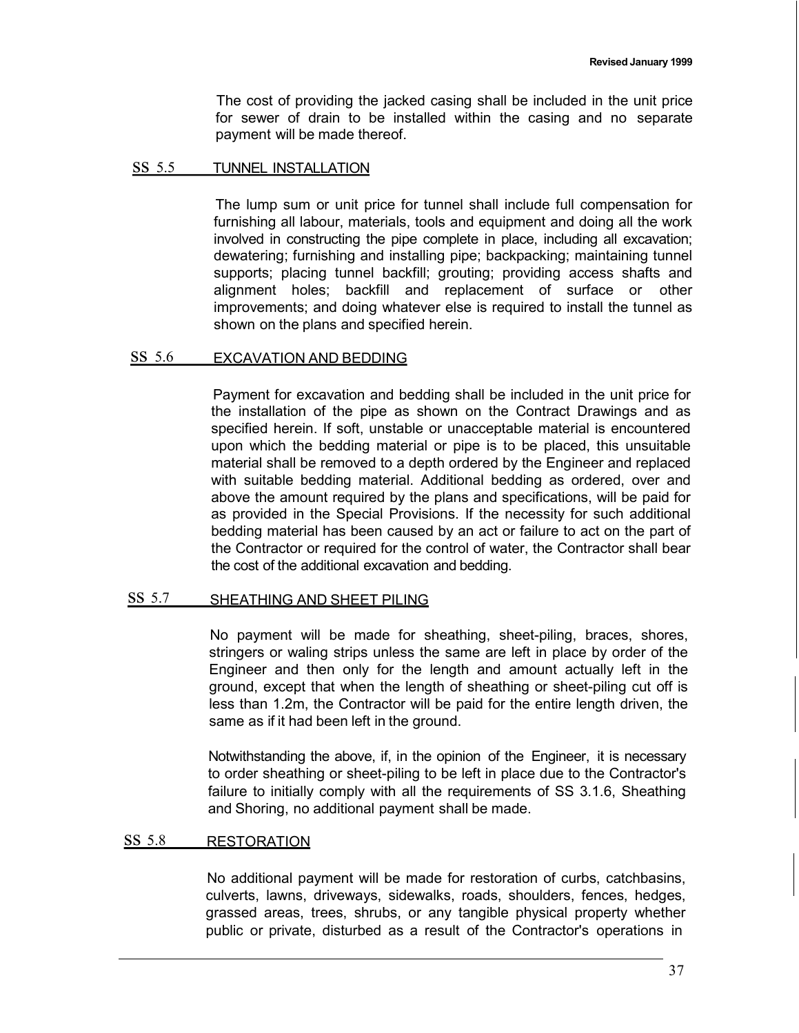The cost of providing the jacked casing shall be included in the unit price for sewer of drain to be installed within the casing and no separate payment will be made thereof.

#### ss 5.5 TUNNEL INSTALLATION

The lump sum or unit price for tunnel shall include full compensation for furnishing all labour, materials, tools and equipment and doing all the work involved in constructing the pipe complete in place, including all excavation; dewatering; furnishing and installing pipe; backpacking; maintaining tunnel supports; placing tunnel backfill; grouting; providing access shafts and alignment holes; backfill and replacement of surface or other improvements; and doing whatever else is required to install the tunnel as shown on the plans and specified herein.

### ss 5.6 EXCAVATION AND BEDDING

Payment for excavation and bedding shall be included in the unit price for the installation of the pipe as shown on the Contract Drawings and as specified herein. If soft, unstable or unacceptable material is encountered upon which the bedding material or pipe is to be placed, this unsuitable material shall be removed to a depth ordered by the Engineer and replaced with suitable bedding material. Additional bedding as ordered, over and above the amount required by the plans and specifications, will be paid for as provided in the Special Provisions. If the necessity for such additional bedding material has been caused by an act or failure to act on the part of the Contractor or required for the control of water, the Contractor shall bear the cost of the additional excavation and bedding.

#### SS 5.7 SHEATHING AND SHEET PILING

No payment will be made for sheathing, sheet-piling, braces, shores, stringers or waling strips unless the same are left in place by order of the Engineer and then only for the length and amount actually left in the ground, except that when the length of sheathing or sheet-piling cut off is less than 1.2m, the Contractor will be paid for the entire length driven, the same as if it had been left in the ground.

Notwithstanding the above, if, in the opinion of the Engineer, it is necessary to order sheathing or sheet-piling to be left in place due to the Contractor's failure to initially comply with all the requirements of SS 3.1.6, Sheathing and Shoring, no additional payment shall be made.

#### ss 5.8 RESTORATION

No additional payment will be made for restoration of curbs, catchbasins, culverts, lawns, driveways, sidewalks, roads, shoulders, fences, hedges, grassed areas, trees, shrubs, or any tangible physical property whether public or private, disturbed as a result of the Contractor's operations in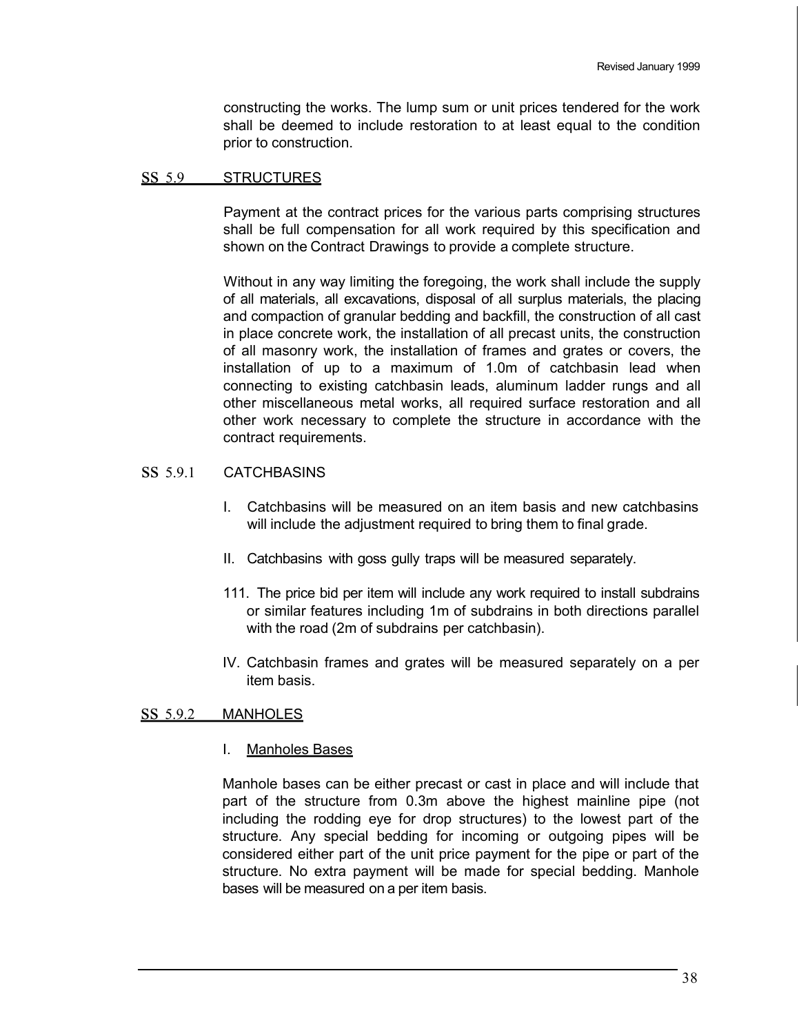constructing the works. The lump sum or unit prices tendered for the work shall be deemed to include restoration to at least equal to the condition prior to construction.

### ss 5.9 STRUCTURES

Payment at the contract prices for the various parts comprising structures shall be full compensation for all work required by this specification and shown on the Contract Drawings to provide a complete structure.

Without in any way limiting the foregoing, the work shall include the supply of all materials, all excavations, disposal of all surplus materials, the placing and compaction of granular bedding and backfill, the construction of all cast in place concrete work, the installation of all precast units, the construction of all masonry work, the installation of frames and grates or covers, the installation of up to a maximum of 1.0m of catchbasin lead when connecting to existing catchbasin leads, aluminum ladder rungs and all other miscellaneous metal works, all required surface restoration and all other work necessary to complete the structure in accordance with the contract requirements.

## ss 5.9.1 CATCHBASINS

- I. Catchbasins will be measured on an item basis and new catchbasins will include the adjustment required to bring them to final grade.
- II. Catchbasins with goss gully traps will be measured separately.
- 111. The price bid per item will include any work required to install subdrains or similar features including 1m of subdrains in both directions parallel with the road (2m of subdrains per catchbasin).
- IV. Catchbasin frames and grates will be measured separately on a per item basis.

## ss 5.9.2 MANHOLES

I. Manholes Bases

Manhole bases can be either precast or cast in place and will include that part of the structure from 0.3m above the highest mainline pipe (not including the rodding eye for drop structures) to the lowest part of the structure. Any special bedding for incoming or outgoing pipes will be considered either part of the unit price payment for the pipe or part of the structure. No extra payment will be made for special bedding. Manhole bases will be measured on a per item basis.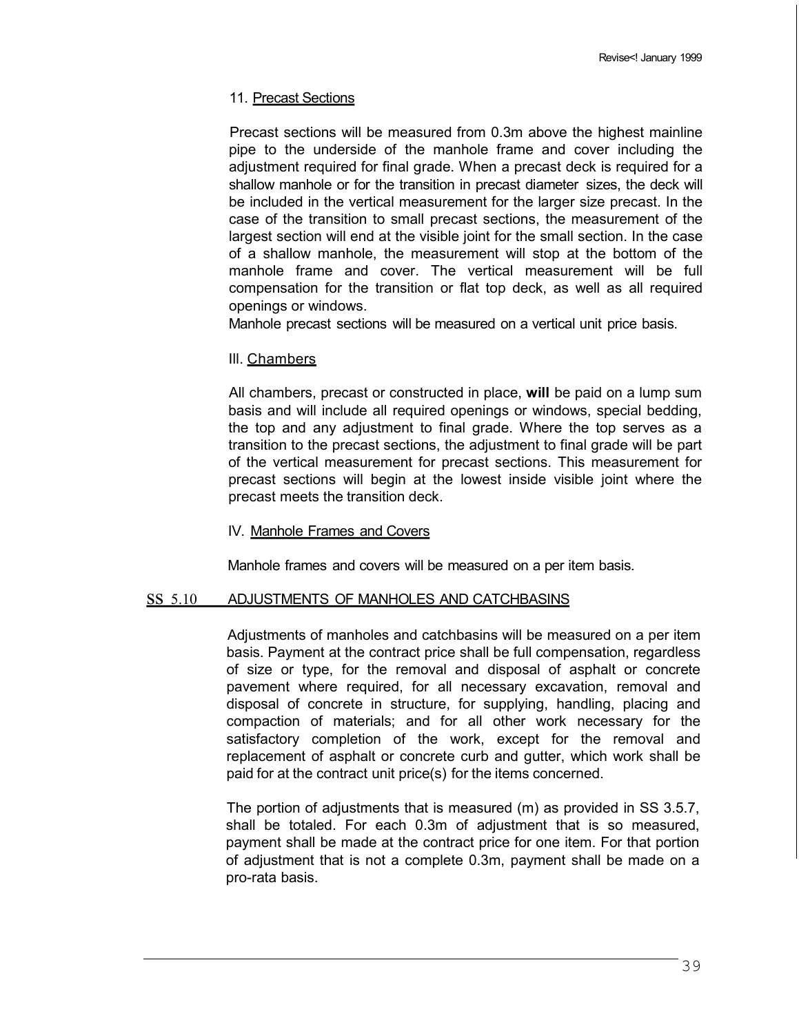### 11. Precast Sections

Precast sections will be measured from 0.3m above the highest mainline pipe to the underside of the manhole frame and cover including the adjustment required for final grade. When a precast deck is required for a shallow manhole or for the transition in precast diameter sizes, the deck will be included in the vertical measurement for the larger size precast. In the case of the transition to small precast sections, the measurement of the largest section will end at the visible joint for the small section. In the case of a shallow manhole, the measurement will stop at the bottom of the manhole frame and cover. The vertical measurement will be full compensation for the transition or flat top deck, as well as all required openings or windows.

Manhole precast sections will be measured on a vertical unit price basis.

### Ill. Chambers

All chambers, precast or constructed in place, **will** be paid on a lump sum basis and will include all required openings or windows, special bedding, the top and any adjustment to final grade. Where the top serves as a transition to the precast sections, the adjustment to final grade will be part of the vertical measurement for precast sections. This measurement for precast sections will begin at the lowest inside visible joint where the precast meets the transition deck.

### IV. Manhole Frames and Covers

Manhole frames and covers will be measured on a per item basis.

#### ss 5.10 ADJUSTMENTS OF MANHOLES AND CATCHBASINS

Adjustments of manholes and catchbasins will be measured on a per item basis. Payment at the contract price shall be full compensation, regardless of size or type, for the removal and disposal of asphalt or concrete pavement where required, for all necessary excavation, removal and disposal of concrete in structure, for supplying, handling, placing and compaction of materials; and for all other work necessary for the satisfactory completion of the work, except for the removal and replacement of asphalt or concrete curb and gutter, which work shall be paid for at the contract unit price(s) for the items concerned.

The portion of adjustments that is measured (m) as provided in SS 3.5.7, shall be totaled. For each 0.3m of adjustment that is so measured, payment shall be made at the contract price for one item. For that portion of adjustment that is not a complete 0.3m, payment shall be made on a pro-rata basis.